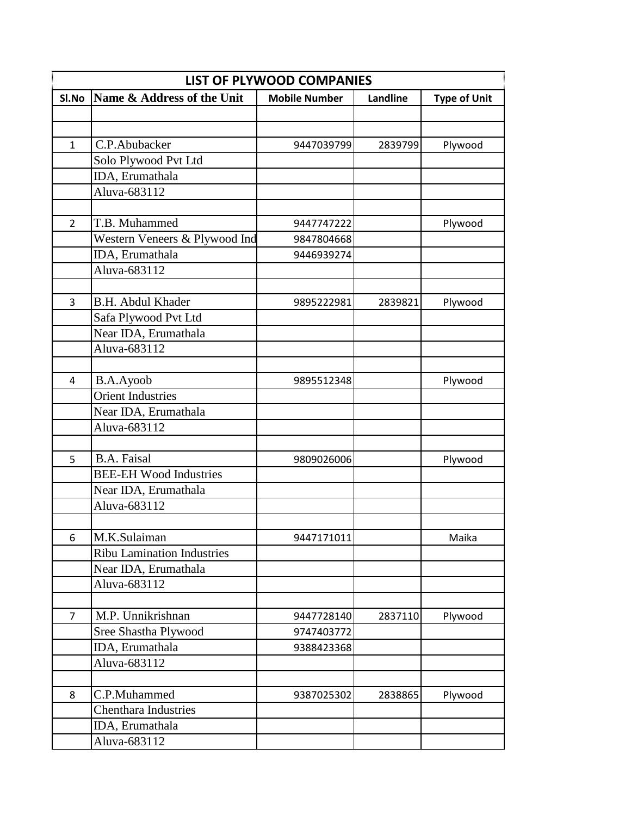| LIST OF PLYWOOD COMPANIES |                                   |                      |                 |                     |
|---------------------------|-----------------------------------|----------------------|-----------------|---------------------|
| SI.No                     | Name & Address of the Unit        | <b>Mobile Number</b> | <b>Landline</b> | <b>Type of Unit</b> |
|                           |                                   |                      |                 |                     |
|                           |                                   |                      |                 |                     |
| $\mathbf{1}$              | C.P.Abubacker                     | 9447039799           | 2839799         | Plywood             |
|                           | Solo Plywood Pvt Ltd              |                      |                 |                     |
|                           | IDA, Erumathala                   |                      |                 |                     |
|                           | Aluva-683112                      |                      |                 |                     |
|                           |                                   |                      |                 |                     |
| $\overline{2}$            | T.B. Muhammed                     | 9447747222           |                 | Plywood             |
|                           | Western Veneers & Plywood Ind     | 9847804668           |                 |                     |
|                           | IDA, Erumathala                   | 9446939274           |                 |                     |
|                           | Aluva-683112                      |                      |                 |                     |
|                           |                                   |                      |                 |                     |
| 3                         | <b>B.H. Abdul Khader</b>          | 9895222981           | 2839821         | Plywood             |
|                           | Safa Plywood Pvt Ltd              |                      |                 |                     |
|                           | Near IDA, Erumathala              |                      |                 |                     |
|                           | Aluva-683112                      |                      |                 |                     |
|                           |                                   |                      |                 |                     |
| 4                         | B.A.Ayoob                         | 9895512348           |                 | Plywood             |
|                           | <b>Orient Industries</b>          |                      |                 |                     |
|                           | Near IDA, Erumathala              |                      |                 |                     |
|                           | Aluva-683112                      |                      |                 |                     |
|                           |                                   |                      |                 |                     |
| 5                         | <b>B.A. Faisal</b>                | 9809026006           |                 | Plywood             |
|                           | <b>BEE-EH Wood Industries</b>     |                      |                 |                     |
|                           | Near IDA, Erumathala              |                      |                 |                     |
|                           | Aluva-683112                      |                      |                 |                     |
|                           |                                   |                      |                 |                     |
| 6                         | M.K.Sulaiman                      | 9447171011           |                 | Maika               |
|                           | <b>Ribu Lamination Industries</b> |                      |                 |                     |
|                           | Near IDA, Erumathala              |                      |                 |                     |
|                           | Aluva-683112                      |                      |                 |                     |
|                           |                                   |                      |                 |                     |
| $\overline{7}$            | M.P. Unnikrishnan                 | 9447728140           | 2837110         | Plywood             |
|                           | Sree Shastha Plywood              | 9747403772           |                 |                     |
|                           | IDA, Erumathala                   | 9388423368           |                 |                     |
|                           | Aluva-683112                      |                      |                 |                     |
|                           |                                   |                      |                 |                     |
| 8                         | C.P.Muhammed                      | 9387025302           | 2838865         | Plywood             |
|                           | <b>Chenthara Industries</b>       |                      |                 |                     |
|                           | IDA, Erumathala                   |                      |                 |                     |
|                           | Aluva-683112                      |                      |                 |                     |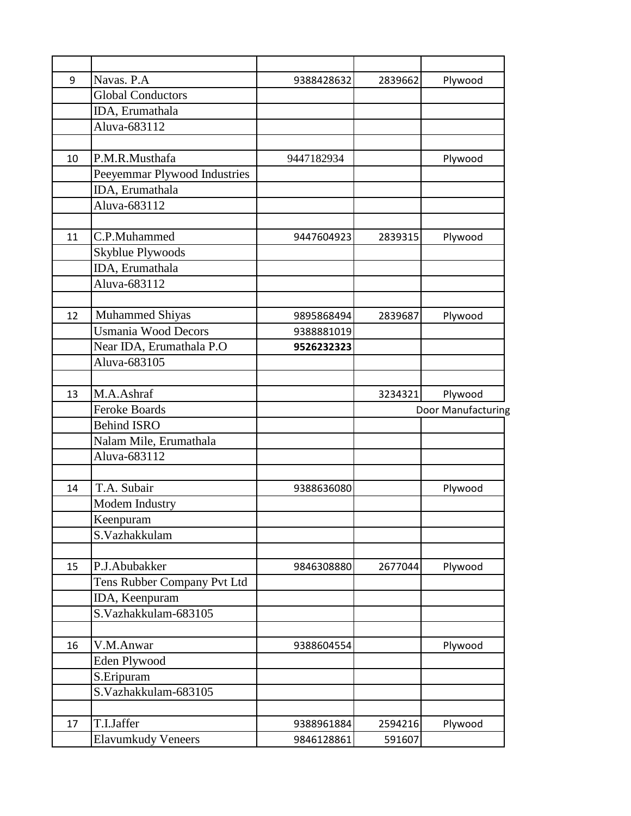| 9  | Navas. P.A                   | 9388428632 | 2839662 | Plywood            |
|----|------------------------------|------------|---------|--------------------|
|    | <b>Global Conductors</b>     |            |         |                    |
|    | IDA, Erumathala              |            |         |                    |
|    | Aluva-683112                 |            |         |                    |
|    |                              |            |         |                    |
| 10 | P.M.R.Musthafa               | 9447182934 |         | Plywood            |
|    | Peeyemmar Plywood Industries |            |         |                    |
|    | IDA, Erumathala              |            |         |                    |
|    | Aluva-683112                 |            |         |                    |
|    |                              |            |         |                    |
| 11 | C.P.Muhammed                 | 9447604923 | 2839315 | Plywood            |
|    | Skyblue Plywoods             |            |         |                    |
|    | IDA, Erumathala              |            |         |                    |
|    | Aluva-683112                 |            |         |                    |
|    |                              |            |         |                    |
| 12 | <b>Muhammed Shiyas</b>       | 9895868494 | 2839687 | Plywood            |
|    | <b>Usmania Wood Decors</b>   | 9388881019 |         |                    |
|    | Near IDA, Erumathala P.O.    | 9526232323 |         |                    |
|    | Aluva-683105                 |            |         |                    |
|    |                              |            |         |                    |
| 13 | M.A.Ashraf                   |            | 3234321 | Plywood            |
|    | <b>Feroke Boards</b>         |            |         | Door Manufacturing |
|    | <b>Behind ISRO</b>           |            |         |                    |
|    | Nalam Mile, Erumathala       |            |         |                    |
|    | Aluva-683112                 |            |         |                    |
|    |                              |            |         |                    |
| 14 | T.A. Subair                  | 9388636080 |         | Plywood            |
|    | Modem Industry               |            |         |                    |
|    | Keenpuram                    |            |         |                    |
|    | S.Vazhakkulam                |            |         |                    |
|    |                              |            |         |                    |
| 15 | P.J.Abubakker                | 9846308880 | 2677044 | Plywood            |
|    | Tens Rubber Company Pvt Ltd  |            |         |                    |
|    | IDA, Keenpuram               |            |         |                    |
|    | S.Vazhakkulam-683105         |            |         |                    |
|    |                              |            |         |                    |
| 16 | V.M.Anwar                    | 9388604554 |         | Plywood            |
|    |                              |            |         |                    |
|    | Eden Plywood                 |            |         |                    |
|    | S.Eripuram                   |            |         |                    |
|    | S.Vazhakkulam-683105         |            |         |                    |
|    |                              |            |         |                    |
| 17 | T.I.Jaffer                   | 9388961884 | 2594216 | Plywood            |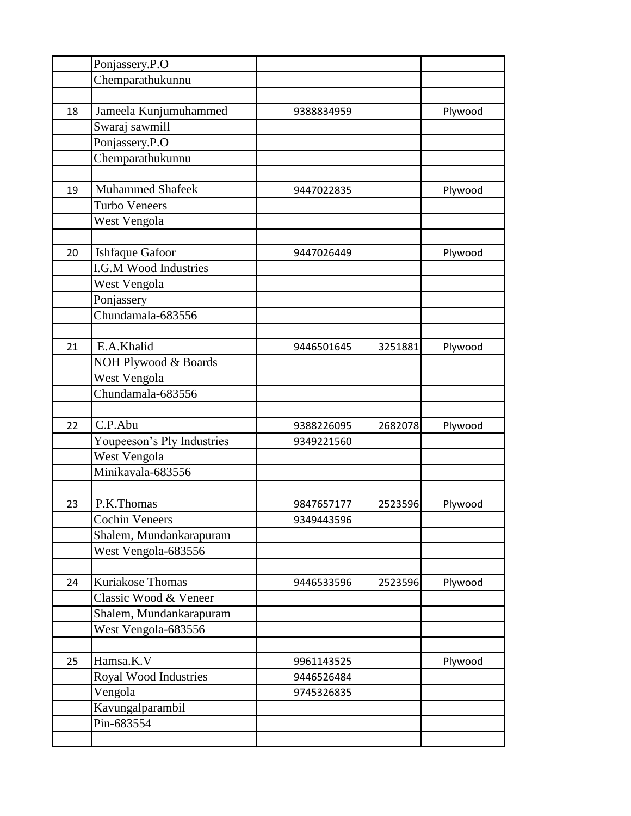|    | Ponjassery.P.O               |            |         |         |
|----|------------------------------|------------|---------|---------|
|    | Chemparathukunnu             |            |         |         |
|    |                              |            |         |         |
| 18 | Jameela Kunjumuhammed        | 9388834959 |         | Plywood |
|    | Swaraj sawmill               |            |         |         |
|    | Ponjassery.P.O               |            |         |         |
|    | Chemparathukunnu             |            |         |         |
|    |                              |            |         |         |
| 19 | <b>Muhammed Shafeek</b>      | 9447022835 |         | Plywood |
|    | <b>Turbo Veneers</b>         |            |         |         |
|    | West Vengola                 |            |         |         |
|    |                              |            |         |         |
| 20 | <b>Ishfaque Gafoor</b>       | 9447026449 |         | Plywood |
|    | <b>I.G.M Wood Industries</b> |            |         |         |
|    | West Vengola                 |            |         |         |
|    | Ponjassery                   |            |         |         |
|    | Chundamala-683556            |            |         |         |
|    |                              |            |         |         |
| 21 | E.A.Khalid                   | 9446501645 | 3251881 | Plywood |
|    | NOH Plywood & Boards         |            |         |         |
|    | West Vengola                 |            |         |         |
|    | Chundamala-683556            |            |         |         |
|    |                              |            |         |         |
| 22 | C.P.Abu                      | 9388226095 | 2682078 | Plywood |
|    | Youpeeson's Ply Industries   | 9349221560 |         |         |
|    | West Vengola                 |            |         |         |
|    | Minikavala-683556            |            |         |         |
|    |                              |            |         |         |
| 23 | P.K.Thomas                   | 9847657177 | 2523596 | Plywood |
|    | <b>Cochin Veneers</b>        | 9349443596 |         |         |
|    | Shalem, Mundankarapuram      |            |         |         |
|    | West Vengola-683556          |            |         |         |
|    |                              |            |         |         |
| 24 | <b>Kuriakose Thomas</b>      | 9446533596 | 2523596 | Plywood |
|    | Classic Wood & Veneer        |            |         |         |
|    | Shalem, Mundankarapuram      |            |         |         |
|    | West Vengola-683556          |            |         |         |
|    |                              |            |         |         |
| 25 | Hamsa.K.V                    | 9961143525 |         | Plywood |
|    | Royal Wood Industries        | 9446526484 |         |         |
|    | Vengola                      | 9745326835 |         |         |
|    | Kavungalparambil             |            |         |         |
|    | Pin-683554                   |            |         |         |
|    |                              |            |         |         |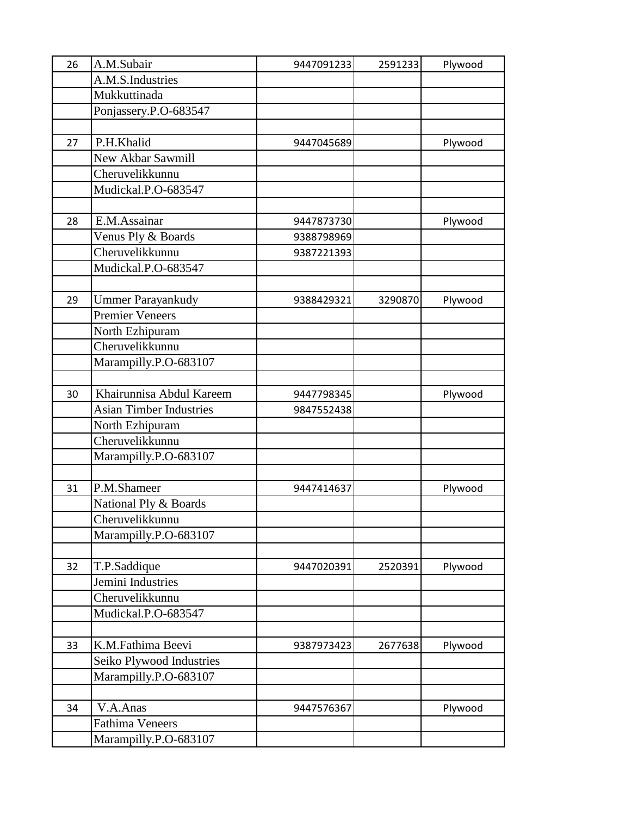| 26 | A.M.Subair                     | 9447091233 | 2591233 | Plywood |
|----|--------------------------------|------------|---------|---------|
|    | A.M.S.Industries               |            |         |         |
|    | Mukkuttinada                   |            |         |         |
|    | Ponjassery.P.O-683547          |            |         |         |
|    |                                |            |         |         |
| 27 | P.H.Khalid                     | 9447045689 |         | Plywood |
|    | New Akbar Sawmill              |            |         |         |
|    | Cheruvelikkunnu                |            |         |         |
|    | Mudickal.P.O-683547            |            |         |         |
|    |                                |            |         |         |
| 28 | E.M.Assainar                   | 9447873730 |         | Plywood |
|    | Venus Ply & Boards             | 9388798969 |         |         |
|    | Cheruvelikkunnu                | 9387221393 |         |         |
|    | Mudickal.P.O-683547            |            |         |         |
|    |                                |            |         |         |
| 29 | <b>Ummer Parayankudy</b>       | 9388429321 | 3290870 | Plywood |
|    | <b>Premier Veneers</b>         |            |         |         |
|    | North Ezhipuram                |            |         |         |
|    | Cheruvelikkunnu                |            |         |         |
|    | Marampilly.P.O-683107          |            |         |         |
|    |                                |            |         |         |
| 30 | Khairunnisa Abdul Kareem       | 9447798345 |         | Plywood |
|    | <b>Asian Timber Industries</b> | 9847552438 |         |         |
|    | North Ezhipuram                |            |         |         |
|    | Cheruvelikkunnu                |            |         |         |
|    | Marampilly.P.O-683107          |            |         |         |
|    |                                |            |         |         |
| 31 | P.M.Shameer                    | 9447414637 |         | Plywood |
|    | National Ply & Boards          |            |         |         |
|    | Cheruvelikkunnu                |            |         |         |
|    | Marampilly.P.O-683107          |            |         |         |
|    |                                |            |         |         |
| 32 | T.P.Saddique                   | 9447020391 | 2520391 | Plywood |
|    | Jemini Industries              |            |         |         |
|    | Cheruvelikkunnu                |            |         |         |
|    | Mudickal.P.O-683547            |            |         |         |
|    |                                |            |         |         |
| 33 | K.M.Fathima Beevi              | 9387973423 | 2677638 | Plywood |
|    | Seiko Plywood Industries       |            |         |         |
|    | Marampilly.P.O-683107          |            |         |         |
|    |                                |            |         |         |
| 34 | V.A.Anas                       | 9447576367 |         | Plywood |
|    | <b>Fathima Veneers</b>         |            |         |         |
|    | Marampilly.P.O-683107          |            |         |         |
|    |                                |            |         |         |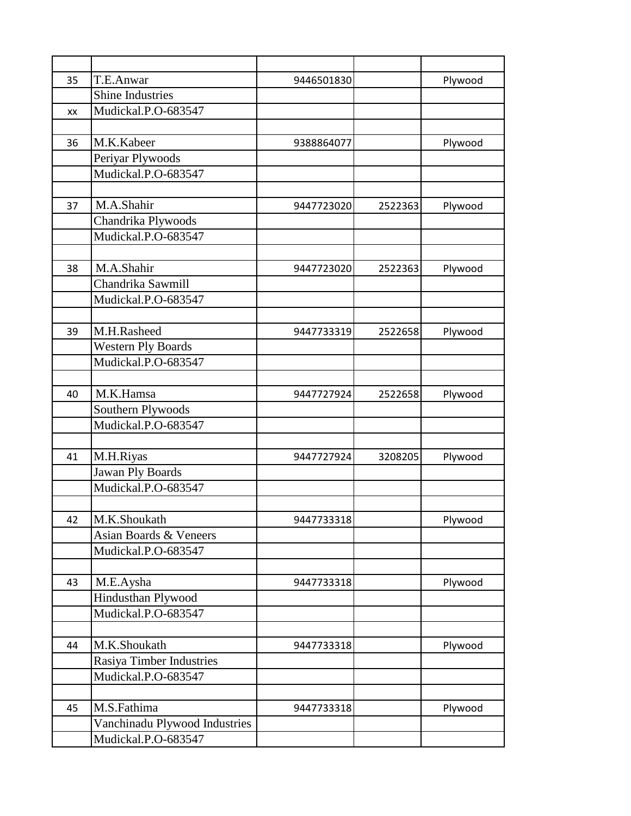| 35 | T.E.Anwar                     | 9446501830 |         | Plywood |
|----|-------------------------------|------------|---------|---------|
|    | <b>Shine Industries</b>       |            |         |         |
| XX | Mudickal.P.O-683547           |            |         |         |
|    |                               |            |         |         |
| 36 | M.K.Kabeer                    | 9388864077 |         | Plywood |
|    | Periyar Plywoods              |            |         |         |
|    | Mudickal.P.O-683547           |            |         |         |
|    |                               |            |         |         |
| 37 | M.A.Shahir                    | 9447723020 | 2522363 | Plywood |
|    | Chandrika Plywoods            |            |         |         |
|    | Mudickal.P.O-683547           |            |         |         |
|    |                               |            |         |         |
| 38 | M.A.Shahir                    | 9447723020 | 2522363 | Plywood |
|    | Chandrika Sawmill             |            |         |         |
|    | Mudickal.P.O-683547           |            |         |         |
|    |                               |            |         |         |
| 39 | M.H.Rasheed                   | 9447733319 | 2522658 | Plywood |
|    | <b>Western Ply Boards</b>     |            |         |         |
|    | Mudickal.P.O-683547           |            |         |         |
|    |                               |            |         |         |
| 40 | M.K.Hamsa                     | 9447727924 | 2522658 | Plywood |
|    | Southern Plywoods             |            |         |         |
|    | Mudickal.P.O-683547           |            |         |         |
|    |                               |            |         |         |
| 41 | M.H.Riyas                     | 9447727924 | 3208205 | Plywood |
|    | <b>Jawan Ply Boards</b>       |            |         |         |
|    | Mudickal.P.O-683547           |            |         |         |
|    |                               |            |         |         |
| 42 | M.K.Shoukath                  | 9447733318 |         | Plywood |
|    | Asian Boards & Veneers        |            |         |         |
|    | Mudickal.P.O-683547           |            |         |         |
|    |                               |            |         |         |
| 43 | M.E.Aysha                     | 9447733318 |         | Plywood |
|    | Hindusthan Plywood            |            |         |         |
|    | Mudickal.P.O-683547           |            |         |         |
|    |                               |            |         |         |
| 44 | M.K.Shoukath                  | 9447733318 |         | Plywood |
|    | Rasiya Timber Industries      |            |         |         |
|    | Mudickal.P.O-683547           |            |         |         |
|    |                               |            |         |         |
| 45 | M.S.Fathima                   | 9447733318 |         | Plywood |
|    | Vanchinadu Plywood Industries |            |         |         |
|    | Mudickal.P.O-683547           |            |         |         |
|    |                               |            |         |         |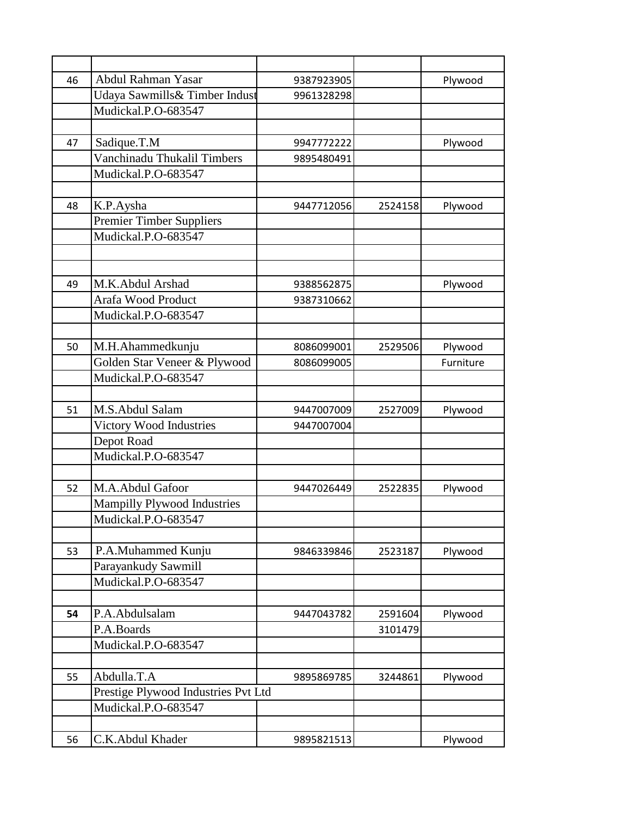| 46 | Abdul Rahman Yasar                  | 9387923905 |         | Plywood   |
|----|-------------------------------------|------------|---------|-----------|
|    | Udaya Sawmills& Timber Indust       | 9961328298 |         |           |
|    | Mudickal.P.O-683547                 |            |         |           |
|    |                                     |            |         |           |
| 47 | Sadique.T.M                         | 9947772222 |         | Plywood   |
|    | Vanchinadu Thukalil Timbers         | 9895480491 |         |           |
|    | Mudickal.P.O-683547                 |            |         |           |
|    |                                     |            |         |           |
| 48 | K.P.Aysha                           | 9447712056 | 2524158 | Plywood   |
|    | <b>Premier Timber Suppliers</b>     |            |         |           |
|    | Mudickal.P.O-683547                 |            |         |           |
|    |                                     |            |         |           |
|    |                                     |            |         |           |
| 49 | M.K.Abdul Arshad                    | 9388562875 |         | Plywood   |
|    | Arafa Wood Product                  | 9387310662 |         |           |
|    | Mudickal.P.O-683547                 |            |         |           |
|    |                                     |            |         |           |
| 50 | M.H.Ahammedkunju                    | 8086099001 | 2529506 | Plywood   |
|    | Golden Star Veneer & Plywood        | 8086099005 |         | Furniture |
|    | Mudickal.P.O-683547                 |            |         |           |
|    |                                     |            |         |           |
| 51 | M.S.Abdul Salam                     | 9447007009 | 2527009 | Plywood   |
|    | Victory Wood Industries             | 9447007004 |         |           |
|    | Depot Road                          |            |         |           |
|    | Mudickal.P.O-683547                 |            |         |           |
|    |                                     |            |         |           |
| 52 | M.A.Abdul Gafoor                    | 9447026449 | 2522835 | Plywood   |
|    | <b>Mampilly Plywood Industries</b>  |            |         |           |
|    | Mudickal.P.O-683547                 |            |         |           |
|    |                                     |            |         |           |
| 53 | P.A.Muhammed Kunju                  | 9846339846 | 2523187 | Plywood   |
|    | Parayankudy Sawmill                 |            |         |           |
|    | Mudickal.P.O-683547                 |            |         |           |
|    |                                     |            |         |           |
| 54 | P.A.Abdulsalam                      | 9447043782 | 2591604 | Plywood   |
|    | P.A.Boards                          |            | 3101479 |           |
|    | Mudickal.P.O-683547                 |            |         |           |
|    |                                     |            |         |           |
| 55 | Abdulla.T.A                         | 9895869785 | 3244861 | Plywood   |
|    | Prestige Plywood Industries Pvt Ltd |            |         |           |
|    | Mudickal.P.O-683547                 |            |         |           |
|    |                                     |            |         |           |
| 56 | C.K.Abdul Khader                    | 9895821513 |         | Plywood   |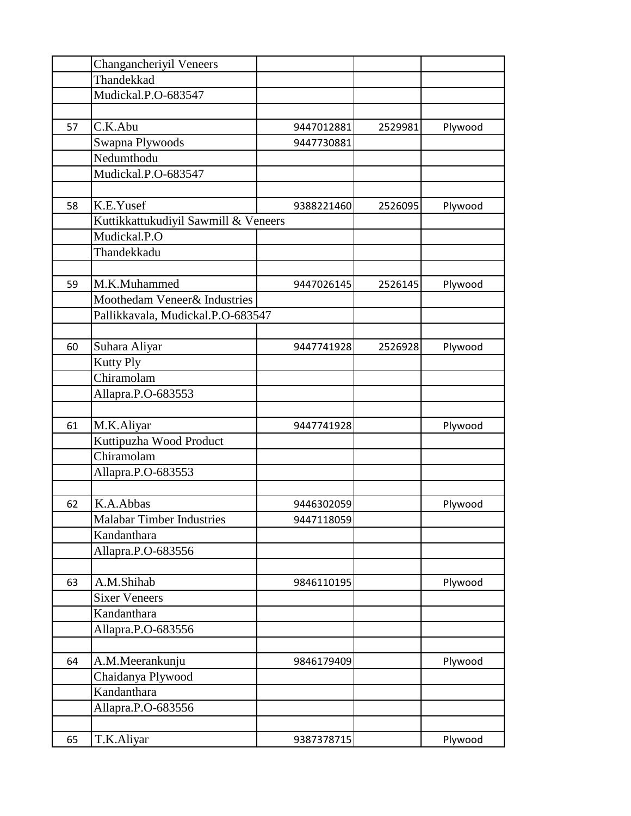|    | Changancheriyil Veneers              |            |         |         |
|----|--------------------------------------|------------|---------|---------|
|    | Thandekkad                           |            |         |         |
|    | Mudickal.P.O-683547                  |            |         |         |
|    |                                      |            |         |         |
| 57 | C.K.Abu                              | 9447012881 | 2529981 | Plywood |
|    | Swapna Plywoods                      | 9447730881 |         |         |
|    | Nedumthodu                           |            |         |         |
|    | Mudickal.P.O-683547                  |            |         |         |
|    |                                      |            |         |         |
| 58 | K.E.Yusef                            | 9388221460 | 2526095 | Plywood |
|    | Kuttikkattukudiyil Sawmill & Veneers |            |         |         |
|    | Mudickal.P.O                         |            |         |         |
|    | Thandekkadu                          |            |         |         |
|    |                                      |            |         |         |
| 59 | M.K.Muhammed                         | 9447026145 | 2526145 | Plywood |
|    | Moothedam Veneer& Industries         |            |         |         |
|    | Pallikkavala, Mudickal.P.O-683547    |            |         |         |
|    |                                      |            |         |         |
| 60 | Suhara Aliyar                        | 9447741928 | 2526928 | Plywood |
|    | <b>Kutty Ply</b>                     |            |         |         |
|    | Chiramolam                           |            |         |         |
|    | Allapra.P.O-683553                   |            |         |         |
|    |                                      |            |         |         |
| 61 | M.K.Aliyar                           | 9447741928 |         | Plywood |
|    | Kuttipuzha Wood Product              |            |         |         |
|    | Chiramolam                           |            |         |         |
|    | Allapra.P.O-683553                   |            |         |         |
|    |                                      |            |         |         |
| 62 | K.A.Abbas                            | 9446302059 |         | Plywood |
|    | <b>Malabar Timber Industries</b>     | 9447118059 |         |         |
|    | Kandanthara                          |            |         |         |
|    | Allapra.P.O-683556                   |            |         |         |
|    |                                      |            |         |         |
| 63 | A.M.Shihab                           | 9846110195 |         | Plywood |
|    | <b>Sixer Veneers</b>                 |            |         |         |
|    | Kandanthara                          |            |         |         |
|    | Allapra.P.O-683556                   |            |         |         |
|    |                                      |            |         |         |
| 64 | A.M.Meerankunju                      | 9846179409 |         | Plywood |
|    | Chaidanya Plywood                    |            |         |         |
|    | Kandanthara                          |            |         |         |
|    | Allapra.P.O-683556                   |            |         |         |
|    |                                      |            |         |         |
| 65 | T.K.Aliyar                           | 9387378715 |         | Plywood |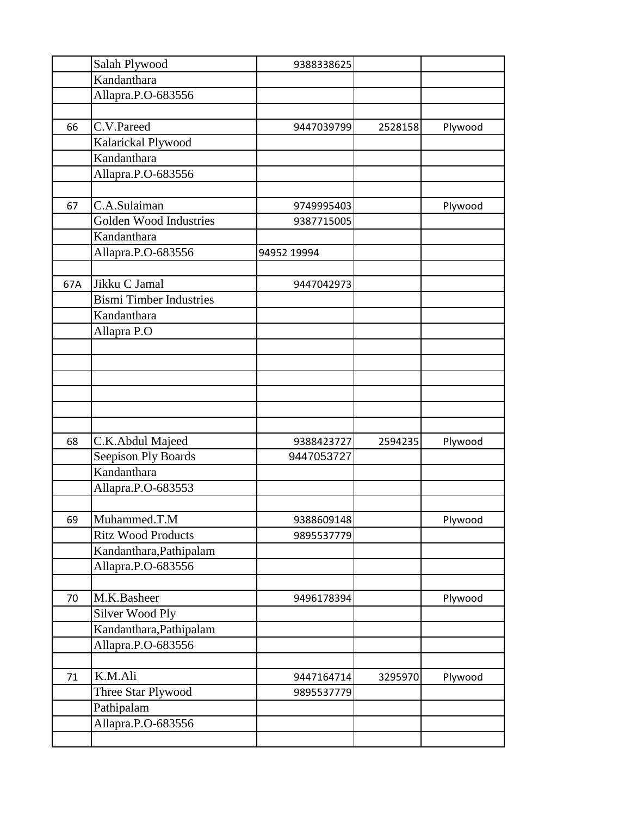|     | Salah Plywood                  | 9388338625  |         |         |
|-----|--------------------------------|-------------|---------|---------|
|     | Kandanthara                    |             |         |         |
|     | Allapra.P.O-683556             |             |         |         |
|     |                                |             |         |         |
| 66  | C.V.Pareed                     | 9447039799  | 2528158 | Plywood |
|     | Kalarickal Plywood             |             |         |         |
|     | Kandanthara                    |             |         |         |
|     | Allapra.P.O-683556             |             |         |         |
|     |                                |             |         |         |
| 67  | C.A.Sulaiman                   | 9749995403  |         | Plywood |
|     | <b>Golden Wood Industries</b>  | 9387715005  |         |         |
|     | Kandanthara                    |             |         |         |
|     | Allapra.P.O-683556             | 94952 19994 |         |         |
|     |                                |             |         |         |
| 67A | Jikku C Jamal                  | 9447042973  |         |         |
|     | <b>Bismi Timber Industries</b> |             |         |         |
|     | Kandanthara                    |             |         |         |
|     | Allapra P.O                    |             |         |         |
|     |                                |             |         |         |
|     |                                |             |         |         |
|     |                                |             |         |         |
|     |                                |             |         |         |
|     |                                |             |         |         |
|     |                                |             |         |         |
| 68  | C.K.Abdul Majeed               | 9388423727  | 2594235 | Plywood |
|     | Seepison Ply Boards            | 9447053727  |         |         |
|     | Kandanthara                    |             |         |         |
|     | Allapra.P.O-683553             |             |         |         |
|     |                                |             |         |         |
| 69  | Muhammed.T.M                   | 9388609148  |         | Plywood |
|     | <b>Ritz Wood Products</b>      | 9895537779  |         |         |
|     | Kandanthara, Pathipalam        |             |         |         |
|     | Allapra.P.O-683556             |             |         |         |
|     |                                |             |         |         |
| 70  | M.K.Basheer                    | 9496178394  |         | Plywood |
|     | Silver Wood Ply                |             |         |         |
|     | Kandanthara, Pathipalam        |             |         |         |
|     | Allapra.P.O-683556             |             |         |         |
|     |                                |             |         |         |
| 71  | K.M.Ali                        | 9447164714  | 3295970 | Plywood |
|     | Three Star Plywood             | 9895537779  |         |         |
|     | Pathipalam                     |             |         |         |
|     | Allapra.P.O-683556             |             |         |         |
|     |                                |             |         |         |
|     |                                |             |         |         |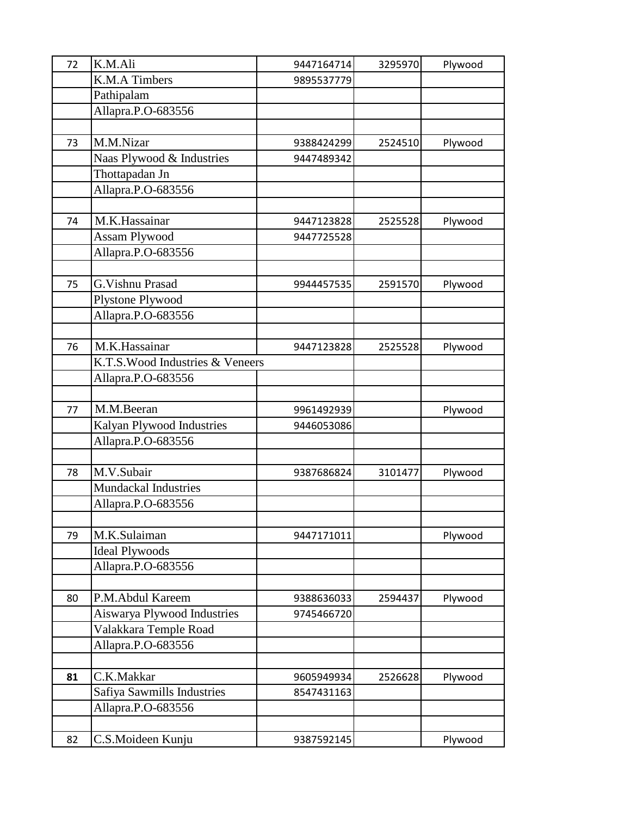| 72 | K.M.Ali                          | 9447164714 | 3295970 | Plywood |
|----|----------------------------------|------------|---------|---------|
|    | K.M.A Timbers                    | 9895537779 |         |         |
|    | Pathipalam                       |            |         |         |
|    | Allapra.P.O-683556               |            |         |         |
|    |                                  |            |         |         |
| 73 | M.M.Nizar                        | 9388424299 | 2524510 | Plywood |
|    | Naas Plywood & Industries        | 9447489342 |         |         |
|    | Thottapadan Jn                   |            |         |         |
|    | Allapra.P.O-683556               |            |         |         |
|    |                                  |            |         |         |
| 74 | M.K.Hassainar                    | 9447123828 | 2525528 | Plywood |
|    | Assam Plywood                    | 9447725528 |         |         |
|    | Allapra.P.O-683556               |            |         |         |
|    |                                  |            |         |         |
| 75 | G. Vishnu Prasad                 | 9944457535 | 2591570 | Plywood |
|    | Plystone Plywood                 |            |         |         |
|    | Allapra.P.O-683556               |            |         |         |
|    |                                  |            |         |         |
| 76 | M.K.Hassainar                    | 9447123828 | 2525528 | Plywood |
|    | K.T.S. Wood Industries & Veneers |            |         |         |
|    | Allapra.P.O-683556               |            |         |         |
|    |                                  |            |         |         |
| 77 | M.M.Beeran                       | 9961492939 |         | Plywood |
|    | Kalyan Plywood Industries        | 9446053086 |         |         |
|    | Allapra.P.O-683556               |            |         |         |
|    |                                  |            |         |         |
| 78 | M.V.Subair                       | 9387686824 | 3101477 | Plywood |
|    | <b>Mundackal Industries</b>      |            |         |         |
|    | Allapra.P.O-683556               |            |         |         |
|    |                                  |            |         |         |
| 79 | M.K.Sulaiman                     | 9447171011 |         | Plywood |
|    | <b>Ideal Plywoods</b>            |            |         |         |
|    | Allapra.P.O-683556               |            |         |         |
|    |                                  |            |         |         |
| 80 | P.M.Abdul Kareem                 | 9388636033 | 2594437 | Plywood |
|    | Aiswarya Plywood Industries      | 9745466720 |         |         |
|    | Valakkara Temple Road            |            |         |         |
|    | Allapra.P.O-683556               |            |         |         |
|    |                                  |            |         |         |
| 81 | C.K.Makkar                       | 9605949934 | 2526628 | Plywood |
|    | Safiya Sawmills Industries       | 8547431163 |         |         |
|    | Allapra.P.O-683556               |            |         |         |
|    |                                  |            |         |         |
| 82 | C.S.Moideen Kunju                | 9387592145 |         | Plywood |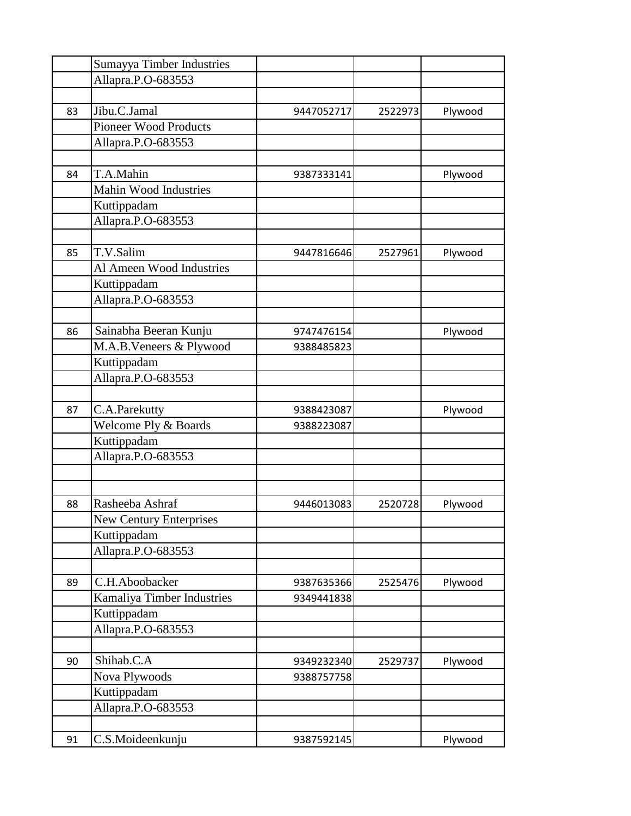|    | Sumayya Timber Industries      |            |         |         |
|----|--------------------------------|------------|---------|---------|
|    | Allapra.P.O-683553             |            |         |         |
|    |                                |            |         |         |
| 83 | Jibu.C.Jamal                   | 9447052717 | 2522973 | Plywood |
|    | <b>Pioneer Wood Products</b>   |            |         |         |
|    | Allapra.P.O-683553             |            |         |         |
|    |                                |            |         |         |
| 84 | T.A.Mahin                      | 9387333141 |         | Plywood |
|    | Mahin Wood Industries          |            |         |         |
|    | Kuttippadam                    |            |         |         |
|    | Allapra.P.O-683553             |            |         |         |
|    |                                |            |         |         |
| 85 | T.V.Salim                      | 9447816646 | 2527961 | Plywood |
|    | Al Ameen Wood Industries       |            |         |         |
|    | Kuttippadam                    |            |         |         |
|    | Allapra.P.O-683553             |            |         |         |
|    |                                |            |         |         |
| 86 | Sainabha Beeran Kunju          | 9747476154 |         | Plywood |
|    | M.A.B.Veneers & Plywood        | 9388485823 |         |         |
|    | Kuttippadam                    |            |         |         |
|    | Allapra.P.O-683553             |            |         |         |
|    |                                |            |         |         |
| 87 | C.A.Parekutty                  | 9388423087 |         | Plywood |
|    | Welcome Ply & Boards           | 9388223087 |         |         |
|    | Kuttippadam                    |            |         |         |
|    | Allapra.P.O-683553             |            |         |         |
|    |                                |            |         |         |
|    |                                |            |         |         |
| 88 | Rasheeba Ashraf                | 9446013083 | 2520728 | Plywood |
|    | <b>New Century Enterprises</b> |            |         |         |
|    | Kuttippadam                    |            |         |         |
|    | Allapra.P.O-683553             |            |         |         |
|    |                                |            |         |         |
| 89 | C.H.Aboobacker                 | 9387635366 | 2525476 | Plywood |
|    | Kamaliya Timber Industries     | 9349441838 |         |         |
|    | Kuttippadam                    |            |         |         |
|    | Allapra.P.O-683553             |            |         |         |
|    |                                |            |         |         |
| 90 | Shihab.C.A                     | 9349232340 | 2529737 | Plywood |
|    | Nova Plywoods                  | 9388757758 |         |         |
|    | Kuttippadam                    |            |         |         |
|    | Allapra.P.O-683553             |            |         |         |
|    |                                |            |         |         |
| 91 | C.S.Moideenkunju               | 9387592145 |         | Plywood |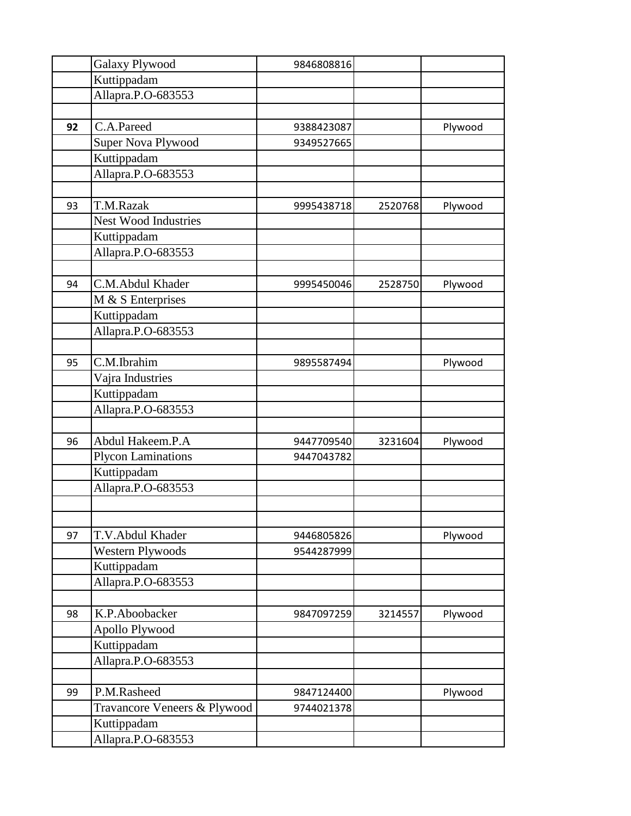|    | <b>Galaxy Plywood</b>        | 9846808816 |         |         |
|----|------------------------------|------------|---------|---------|
|    | Kuttippadam                  |            |         |         |
|    | Allapra.P.O-683553           |            |         |         |
|    |                              |            |         |         |
| 92 | C.A.Pareed                   | 9388423087 |         | Plywood |
|    | Super Nova Plywood           | 9349527665 |         |         |
|    | Kuttippadam                  |            |         |         |
|    | Allapra.P.O-683553           |            |         |         |
|    |                              |            |         |         |
| 93 | T.M.Razak                    | 9995438718 | 2520768 | Plywood |
|    | <b>Nest Wood Industries</b>  |            |         |         |
|    | Kuttippadam                  |            |         |         |
|    | Allapra.P.O-683553           |            |         |         |
|    |                              |            |         |         |
| 94 | C.M.Abdul Khader             | 9995450046 | 2528750 | Plywood |
|    | M & S Enterprises            |            |         |         |
|    | Kuttippadam                  |            |         |         |
|    | Allapra.P.O-683553           |            |         |         |
|    |                              |            |         |         |
| 95 | C.M.Ibrahim                  | 9895587494 |         | Plywood |
|    | Vajra Industries             |            |         |         |
|    | Kuttippadam                  |            |         |         |
|    | Allapra.P.O-683553           |            |         |         |
|    |                              |            |         |         |
| 96 | Abdul Hakeem.P.A             | 9447709540 | 3231604 | Plywood |
|    | <b>Plycon Laminations</b>    | 9447043782 |         |         |
|    | Kuttippadam                  |            |         |         |
|    | Allapra.P.O-683553           |            |         |         |
|    |                              |            |         |         |
|    |                              |            |         |         |
| 97 | T.V.Abdul Khader             | 9446805826 |         | Plywood |
|    | <b>Western Plywoods</b>      | 9544287999 |         |         |
|    | Kuttippadam                  |            |         |         |
|    | Allapra.P.O-683553           |            |         |         |
|    |                              |            |         |         |
| 98 | K.P.Aboobacker               | 9847097259 | 3214557 | Plywood |
|    | Apollo Plywood               |            |         |         |
|    | Kuttippadam                  |            |         |         |
|    | Allapra.P.O-683553           |            |         |         |
|    |                              |            |         |         |
| 99 | P.M.Rasheed                  | 9847124400 |         | Plywood |
|    | Travancore Veneers & Plywood | 9744021378 |         |         |
|    | Kuttippadam                  |            |         |         |
|    | Allapra.P.O-683553           |            |         |         |
|    |                              |            |         |         |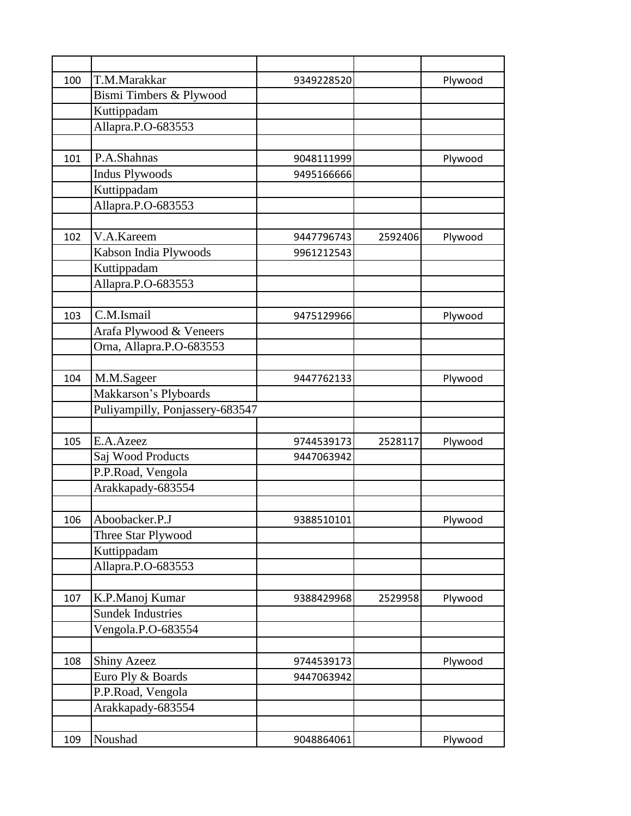| 100 | T.M.Marakkar                    | 9349228520 |         | Plywood |
|-----|---------------------------------|------------|---------|---------|
|     | Bismi Timbers & Plywood         |            |         |         |
|     | Kuttippadam                     |            |         |         |
|     | Allapra.P.O-683553              |            |         |         |
|     |                                 |            |         |         |
| 101 | P.A.Shahnas                     | 9048111999 |         | Plywood |
|     | <b>Indus Plywoods</b>           | 9495166666 |         |         |
|     | Kuttippadam                     |            |         |         |
|     | Allapra.P.O-683553              |            |         |         |
|     |                                 |            |         |         |
| 102 | V.A.Kareem                      | 9447796743 | 2592406 | Plywood |
|     | Kabson India Plywoods           | 9961212543 |         |         |
|     | Kuttippadam                     |            |         |         |
|     | Allapra.P.O-683553              |            |         |         |
|     |                                 |            |         |         |
| 103 | C.M.Ismail                      | 9475129966 |         | Plywood |
|     | Arafa Plywood & Veneers         |            |         |         |
|     | Orna, Allapra.P.O-683553        |            |         |         |
|     |                                 |            |         |         |
| 104 | M.M.Sageer                      | 9447762133 |         | Plywood |
|     | Makkarson's Plyboards           |            |         |         |
|     | Puliyampilly, Ponjassery-683547 |            |         |         |
|     |                                 |            |         |         |
| 105 | E.A.Azeez                       | 9744539173 | 2528117 | Plywood |
|     | Saj Wood Products               | 9447063942 |         |         |
|     | P.P.Road, Vengola               |            |         |         |
|     | Arakkapady-683554               |            |         |         |
|     |                                 |            |         |         |
| 106 | Aboobacker.P.J                  | 9388510101 |         | Plywood |
|     | Three Star Plywood              |            |         |         |
|     | Kuttippadam                     |            |         |         |
|     | Allapra.P.O-683553              |            |         |         |
|     |                                 |            |         |         |
| 107 | K.P.Manoj Kumar                 | 9388429968 | 2529958 | Plywood |
|     | <b>Sundek Industries</b>        |            |         |         |
|     | Vengola.P.O-683554              |            |         |         |
|     |                                 |            |         |         |
| 108 | <b>Shiny Azeez</b>              | 9744539173 |         | Plywood |
|     | Euro Ply & Boards               | 9447063942 |         |         |
|     | P.P.Road, Vengola               |            |         |         |
|     | Arakkapady-683554               |            |         |         |
|     |                                 |            |         |         |
| 109 | Noushad                         | 9048864061 |         | Plywood |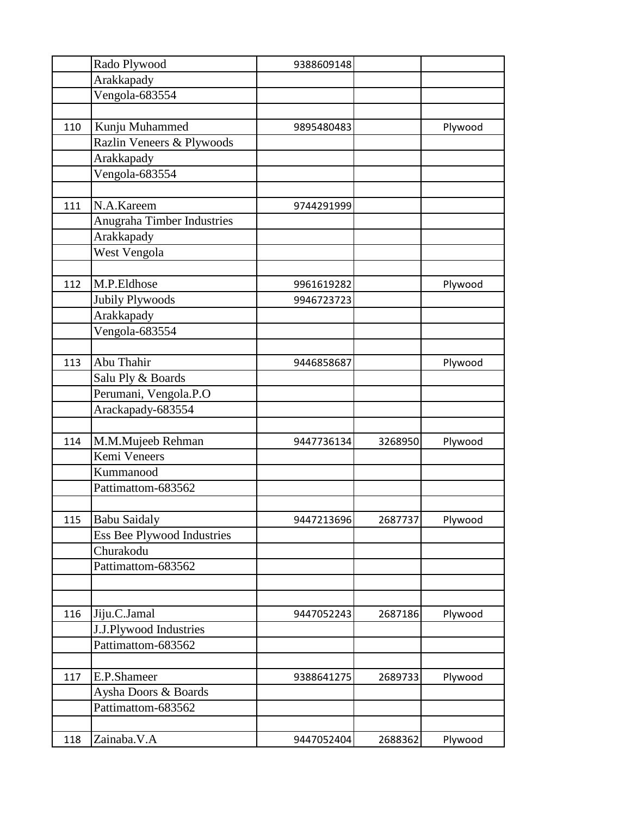|     | Rado Plywood               | 9388609148 |         |         |
|-----|----------------------------|------------|---------|---------|
|     | Arakkapady                 |            |         |         |
|     | Vengola-683554             |            |         |         |
|     |                            |            |         |         |
| 110 | Kunju Muhammed             | 9895480483 |         | Plywood |
|     | Razlin Veneers & Plywoods  |            |         |         |
|     | Arakkapady                 |            |         |         |
|     | Vengola-683554             |            |         |         |
|     |                            |            |         |         |
| 111 | N.A.Kareem                 | 9744291999 |         |         |
|     | Anugraha Timber Industries |            |         |         |
|     | Arakkapady                 |            |         |         |
|     | West Vengola               |            |         |         |
|     |                            |            |         |         |
| 112 | M.P.Eldhose                | 9961619282 |         | Plywood |
|     | Jubily Plywoods            | 9946723723 |         |         |
|     | Arakkapady                 |            |         |         |
|     | Vengola-683554             |            |         |         |
|     |                            |            |         |         |
| 113 | Abu Thahir                 | 9446858687 |         | Plywood |
|     | Salu Ply & Boards          |            |         |         |
|     | Perumani, Vengola.P.O      |            |         |         |
|     | Arackapady-683554          |            |         |         |
|     |                            |            |         |         |
| 114 | M.M.Mujeeb Rehman          | 9447736134 | 3268950 | Plywood |
|     | Kemi Veneers               |            |         |         |
|     | Kummanood                  |            |         |         |
|     | Pattimattom-683562         |            |         |         |
|     |                            |            |         |         |
|     | 115 Babu Saidaly           | 9447213696 | 2687737 | Plywood |
|     | Ess Bee Plywood Industries |            |         |         |
|     | Churakodu                  |            |         |         |
|     | Pattimattom-683562         |            |         |         |
|     |                            |            |         |         |
|     |                            |            |         |         |
| 116 | Jiju.C.Jamal               | 9447052243 | 2687186 | Plywood |
|     | J.J.Plywood Industries     |            |         |         |
|     | Pattimattom-683562         |            |         |         |
|     |                            |            |         |         |
| 117 | E.P.Shameer                | 9388641275 | 2689733 | Plywood |
|     | Aysha Doors & Boards       |            |         |         |
|     | Pattimattom-683562         |            |         |         |
|     |                            |            |         |         |
| 118 | Zainaba.V.A                | 9447052404 | 2688362 | Plywood |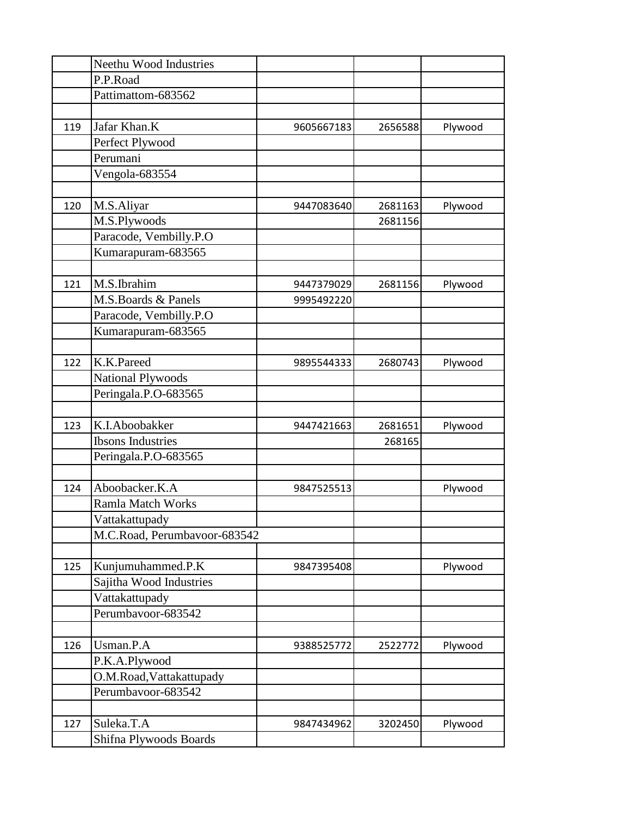|     | Neethu Wood Industries       |            |         |         |
|-----|------------------------------|------------|---------|---------|
|     | P.P.Road                     |            |         |         |
|     | Pattimattom-683562           |            |         |         |
|     |                              |            |         |         |
| 119 | Jafar Khan.K                 | 9605667183 | 2656588 | Plywood |
|     | Perfect Plywood              |            |         |         |
|     | Perumani                     |            |         |         |
|     | Vengola-683554               |            |         |         |
|     |                              |            |         |         |
| 120 | M.S.Aliyar                   | 9447083640 | 2681163 | Plywood |
|     | M.S.Plywoods                 |            | 2681156 |         |
|     | Paracode, Vembilly.P.O       |            |         |         |
|     | Kumarapuram-683565           |            |         |         |
|     |                              |            |         |         |
| 121 | M.S.Ibrahim                  | 9447379029 | 2681156 | Plywood |
|     | M.S.Boards & Panels          | 9995492220 |         |         |
|     | Paracode, Vembilly.P.O       |            |         |         |
|     | Kumarapuram-683565           |            |         |         |
|     |                              |            |         |         |
| 122 | K.K.Pareed                   | 9895544333 | 2680743 | Plywood |
|     | <b>National Plywoods</b>     |            |         |         |
|     | Peringala.P.O-683565         |            |         |         |
|     |                              |            |         |         |
| 123 | K.I.Aboobakker               | 9447421663 | 2681651 | Plywood |
|     | <b>Ibsons Industries</b>     |            | 268165  |         |
|     | Peringala.P.O-683565         |            |         |         |
|     |                              |            |         |         |
| 124 | Aboobacker.K.A               | 9847525513 |         | Plywood |
|     | Ramla Match Works            |            |         |         |
|     | Vattakattupady               |            |         |         |
|     | M.C.Road, Perumbavoor-683542 |            |         |         |
|     |                              |            |         |         |
| 125 | Kunjumuhammed.P.K            | 9847395408 |         | Plywood |
|     | Sajitha Wood Industries      |            |         |         |
|     | Vattakattupady               |            |         |         |
|     | Perumbavoor-683542           |            |         |         |
|     |                              |            |         |         |
| 126 | Usman.P.A                    | 9388525772 | 2522772 | Plywood |
|     | P.K.A.Plywood                |            |         |         |
|     | O.M.Road, Vattakattupady     |            |         |         |
|     | Perumbavoor-683542           |            |         |         |
|     |                              |            |         |         |
| 127 | Suleka.T.A                   | 9847434962 | 3202450 | Plywood |
|     | Shifna Plywoods Boards       |            |         |         |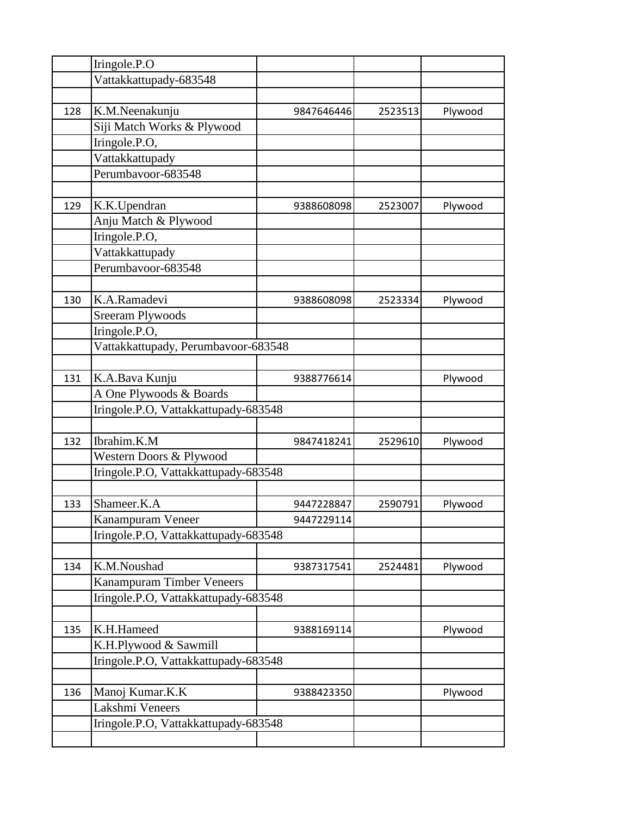|     | Iringole.P.O                         |            |         |         |
|-----|--------------------------------------|------------|---------|---------|
|     | Vattakkattupady-683548               |            |         |         |
|     |                                      |            |         |         |
| 128 | K.M.Neenakunju                       | 9847646446 | 2523513 | Plywood |
|     | Siji Match Works & Plywood           |            |         |         |
|     | Iringole.P.O,                        |            |         |         |
|     | Vattakkattupady                      |            |         |         |
|     | Perumbavoor-683548                   |            |         |         |
|     |                                      |            |         |         |
| 129 | K.K.Upendran                         | 9388608098 | 2523007 | Plywood |
|     | Anju Match & Plywood                 |            |         |         |
|     | Iringole.P.O,                        |            |         |         |
|     | Vattakkattupady                      |            |         |         |
|     | Perumbavoor-683548                   |            |         |         |
|     |                                      |            |         |         |
| 130 | K.A.Ramadevi                         | 9388608098 | 2523334 | Plywood |
|     | <b>Sreeram Plywoods</b>              |            |         |         |
|     | Iringole.P.O,                        |            |         |         |
|     | Vattakkattupady, Perumbavoor-683548  |            |         |         |
|     |                                      |            |         |         |
| 131 | K.A.Bava Kunju                       | 9388776614 |         | Plywood |
|     | A One Plywoods & Boards              |            |         |         |
|     | Iringole.P.O, Vattakkattupady-683548 |            |         |         |
|     |                                      |            |         |         |
| 132 | Ibrahim.K.M                          | 9847418241 | 2529610 | Plywood |
|     | Western Doors & Plywood              |            |         |         |
|     | Iringole.P.O, Vattakkattupady-683548 |            |         |         |
|     |                                      |            |         |         |
| 133 | Shameer.K.A                          | 9447228847 | 2590791 | Plywood |
|     | Kanampuram Veneer                    | 9447229114 |         |         |
|     | Iringole.P.O, Vattakkattupady-683548 |            |         |         |
|     |                                      |            |         |         |
| 134 | K.M.Noushad                          | 9387317541 | 2524481 | Plywood |
|     | Kanampuram Timber Veneers            |            |         |         |
|     | Iringole.P.O, Vattakkattupady-683548 |            |         |         |
|     |                                      |            |         |         |
| 135 | K.H.Hameed                           | 9388169114 |         | Plywood |
|     | K.H.Plywood & Sawmill                |            |         |         |
|     | Iringole.P.O, Vattakkattupady-683548 |            |         |         |
|     |                                      |            |         |         |
| 136 | Manoj Kumar.K.K                      | 9388423350 |         | Plywood |
|     | Lakshmi Veneers                      |            |         |         |
|     | Iringole.P.O, Vattakkattupady-683548 |            |         |         |
|     |                                      |            |         |         |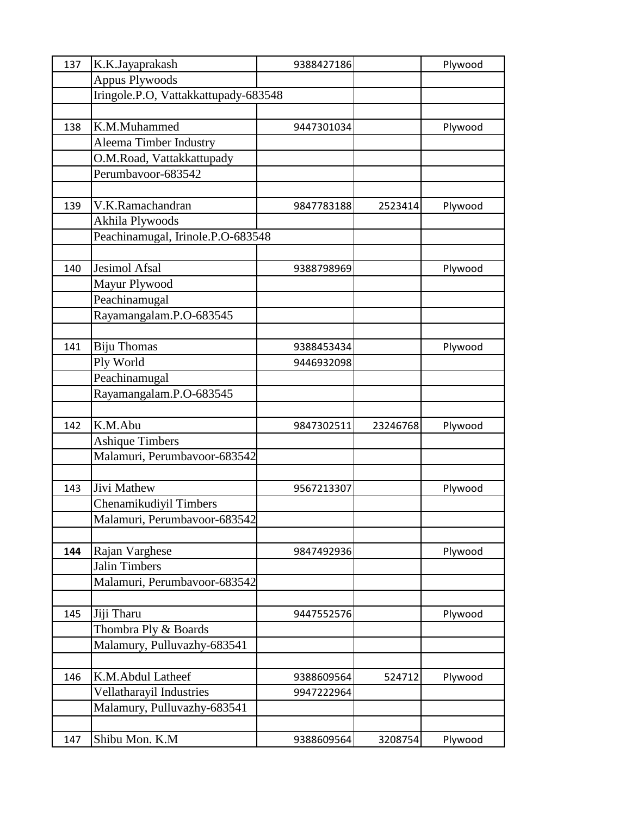| 137 | K.K.Jayaprakash                      | 9388427186 |          | Plywood |
|-----|--------------------------------------|------------|----------|---------|
|     | <b>Appus Plywoods</b>                |            |          |         |
|     | Iringole.P.O, Vattakkattupady-683548 |            |          |         |
|     |                                      |            |          |         |
| 138 | K.M.Muhammed                         | 9447301034 |          | Plywood |
|     | Aleema Timber Industry               |            |          |         |
|     | O.M.Road, Vattakkattupady            |            |          |         |
|     | Perumbavoor-683542                   |            |          |         |
|     |                                      |            |          |         |
| 139 | V.K.Ramachandran                     | 9847783188 | 2523414  | Plywood |
|     | Akhila Plywoods                      |            |          |         |
|     | Peachinamugal, Irinole.P.O-683548    |            |          |         |
|     |                                      |            |          |         |
| 140 | <b>Jesimol Afsal</b>                 | 9388798969 |          | Plywood |
|     | Mayur Plywood                        |            |          |         |
|     | Peachinamugal                        |            |          |         |
|     | Rayamangalam.P.O-683545              |            |          |         |
|     |                                      |            |          |         |
| 141 | <b>Biju Thomas</b>                   | 9388453434 |          | Plywood |
|     | Ply World                            | 9446932098 |          |         |
|     | Peachinamugal                        |            |          |         |
|     | Rayamangalam.P.O-683545              |            |          |         |
|     |                                      |            |          |         |
| 142 | K.M.Abu                              | 9847302511 | 23246768 | Plywood |
|     | <b>Ashique Timbers</b>               |            |          |         |
|     | Malamuri, Perumbavoor-683542         |            |          |         |
|     |                                      |            |          |         |
| 143 | Jivi Mathew                          | 9567213307 |          | Plywood |
|     | Chenamikudiyil Timbers               |            |          |         |
|     | Malamuri, Perumbavoor-683542         |            |          |         |
|     |                                      |            |          |         |
| 144 | Rajan Varghese                       | 9847492936 |          | Plywood |
|     | <b>Jalin Timbers</b>                 |            |          |         |
|     | Malamuri, Perumbavoor-683542         |            |          |         |
|     |                                      |            |          |         |
| 145 | Jiji Tharu                           | 9447552576 |          | Plywood |
|     | Thombra Ply & Boards                 |            |          |         |
|     | Malamury, Pulluvazhy-683541          |            |          |         |
|     |                                      |            |          |         |
| 146 | K.M.Abdul Latheef                    | 9388609564 | 524712   | Plywood |
|     | Vellatharayil Industries             | 9947222964 |          |         |
|     | Malamury, Pulluvazhy-683541          |            |          |         |
|     |                                      |            |          |         |
| 147 | Shibu Mon. K.M                       | 9388609564 | 3208754  | Plywood |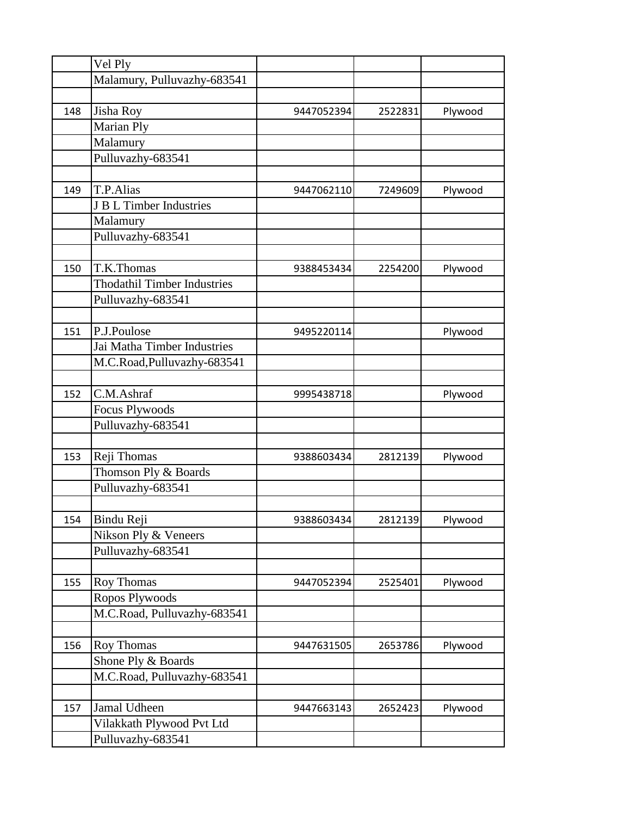|     | Vel Ply                            |            |         |         |
|-----|------------------------------------|------------|---------|---------|
|     | Malamury, Pulluvazhy-683541        |            |         |         |
|     |                                    |            |         |         |
| 148 | Jisha Roy                          | 9447052394 | 2522831 | Plywood |
|     | Marian Ply                         |            |         |         |
|     | Malamury                           |            |         |         |
|     | Pulluvazhy-683541                  |            |         |         |
|     |                                    |            |         |         |
| 149 | T.P.Alias                          | 9447062110 | 7249609 | Plywood |
|     | J B L Timber Industries            |            |         |         |
|     | Malamury                           |            |         |         |
|     | Pulluvazhy-683541                  |            |         |         |
|     |                                    |            |         |         |
| 150 | T.K.Thomas                         | 9388453434 | 2254200 | Plywood |
|     | <b>Thodathil Timber Industries</b> |            |         |         |
|     | Pulluvazhy-683541                  |            |         |         |
|     |                                    |            |         |         |
| 151 | P.J.Poulose                        | 9495220114 |         | Plywood |
|     | Jai Matha Timber Industries        |            |         |         |
|     | M.C.Road, Pulluvazhy-683541        |            |         |         |
|     |                                    |            |         |         |
| 152 | C.M.Ashraf                         | 9995438718 |         | Plywood |
|     | <b>Focus Plywoods</b>              |            |         |         |
|     | Pulluvazhy-683541                  |            |         |         |
|     |                                    |            |         |         |
| 153 | Reji Thomas                        | 9388603434 | 2812139 | Plywood |
|     | Thomson Ply & Boards               |            |         |         |
|     | Pulluvazhy-683541                  |            |         |         |
|     |                                    |            |         |         |
| 154 | <b>Bindu Reji</b>                  | 9388603434 | 2812139 | Plywood |
|     | Nikson Ply & Veneers               |            |         |         |
|     | Pulluvazhy-683541                  |            |         |         |
|     |                                    |            |         |         |
| 155 | Roy Thomas                         | 9447052394 | 2525401 | Plywood |
|     | Ropos Plywoods                     |            |         |         |
|     | M.C.Road, Pulluvazhy-683541        |            |         |         |
|     |                                    |            |         |         |
| 156 | Roy Thomas                         | 9447631505 | 2653786 | Plywood |
|     | Shone Ply & Boards                 |            |         |         |
|     | M.C.Road, Pulluvazhy-683541        |            |         |         |
|     |                                    |            |         |         |
| 157 | Jamal Udheen                       | 9447663143 | 2652423 | Plywood |
|     | Vilakkath Plywood Pvt Ltd          |            |         |         |
|     | Pulluvazhy-683541                  |            |         |         |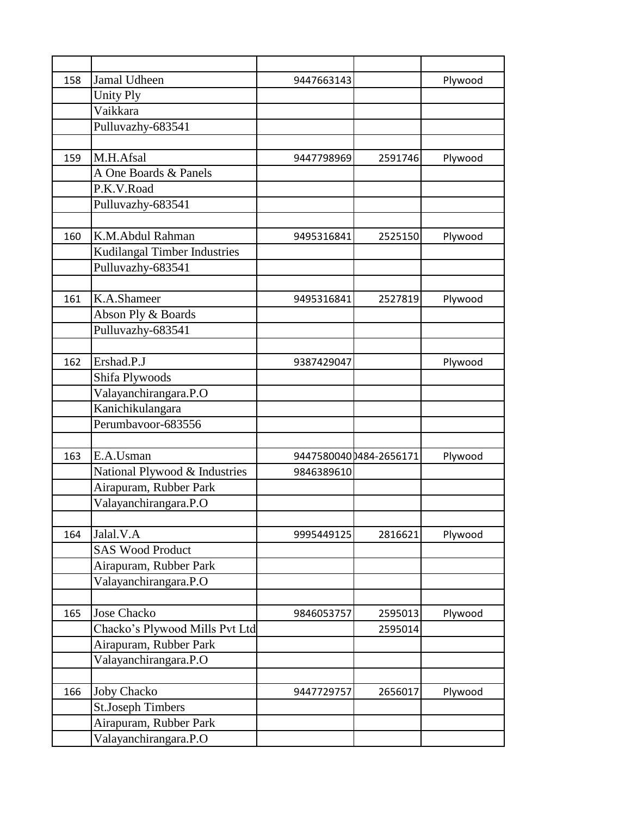| 158 | Jamal Udheen                   | 9447663143 |                        | Plywood |
|-----|--------------------------------|------------|------------------------|---------|
|     | <b>Unity Ply</b>               |            |                        |         |
|     | Vaikkara                       |            |                        |         |
|     | Pulluvazhy-683541              |            |                        |         |
|     |                                |            |                        |         |
| 159 | M.H.Afsal                      | 9447798969 | 2591746                | Plywood |
|     | A One Boards & Panels          |            |                        |         |
|     | P.K.V.Road                     |            |                        |         |
|     | Pulluvazhy-683541              |            |                        |         |
|     |                                |            |                        |         |
| 160 | K.M.Abdul Rahman               | 9495316841 | 2525150                | Plywood |
|     | Kudilangal Timber Industries   |            |                        |         |
|     | Pulluvazhy-683541              |            |                        |         |
|     |                                |            |                        |         |
| 161 | K.A.Shameer                    | 9495316841 | 2527819                | Plywood |
|     | Abson Ply & Boards             |            |                        |         |
|     | Pulluvazhy-683541              |            |                        |         |
|     |                                |            |                        |         |
| 162 | Ershad.P.J                     | 9387429047 |                        | Plywood |
|     | Shifa Plywoods                 |            |                        |         |
|     | Valayanchirangara.P.O          |            |                        |         |
|     | Kanichikulangara               |            |                        |         |
|     | Perumbavoor-683556             |            |                        |         |
|     |                                |            |                        |         |
| 163 | E.A.Usman                      |            | 94475800400484-2656171 | Plywood |
|     | National Plywood & Industries  | 9846389610 |                        |         |
|     | Airapuram, Rubber Park         |            |                        |         |
|     | Valayanchirangara.P.O          |            |                        |         |
|     |                                |            |                        |         |
| 164 | Jalal.V.A                      | 9995449125 | 2816621                | Plywood |
|     | <b>SAS Wood Product</b>        |            |                        |         |
|     | Airapuram, Rubber Park         |            |                        |         |
|     | Valayanchirangara.P.O          |            |                        |         |
|     |                                |            |                        |         |
| 165 | <b>Jose Chacko</b>             | 9846053757 | 2595013                | Plywood |
|     | Chacko's Plywood Mills Pvt Ltd |            | 2595014                |         |
|     | Airapuram, Rubber Park         |            |                        |         |
|     | Valayanchirangara.P.O          |            |                        |         |
|     |                                |            |                        |         |
| 166 | <b>Joby Chacko</b>             | 9447729757 | 2656017                | Plywood |
|     | <b>St.Joseph Timbers</b>       |            |                        |         |
|     | Airapuram, Rubber Park         |            |                        |         |
|     | Valayanchirangara.P.O          |            |                        |         |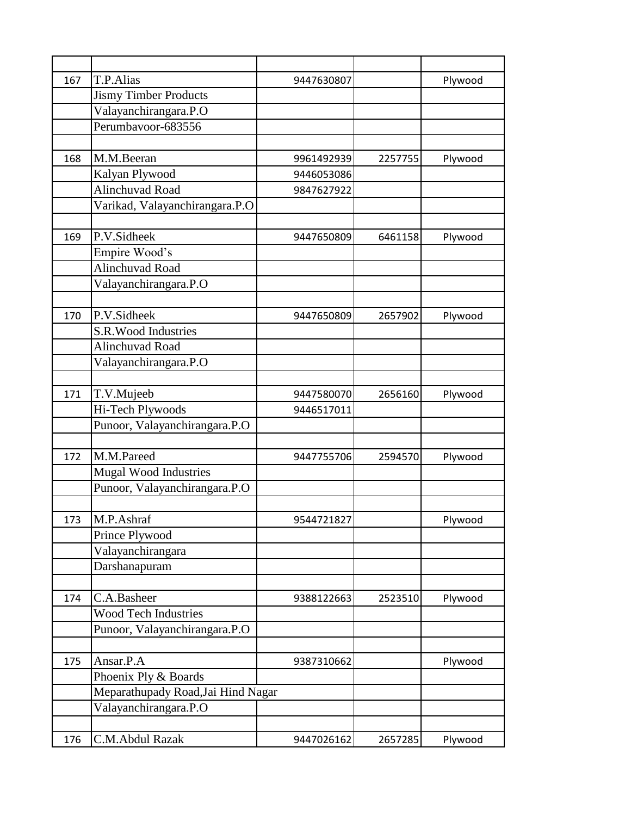| 167 | T.P.Alias                          | 9447630807 |         | Plywood |
|-----|------------------------------------|------------|---------|---------|
|     | <b>Jismy Timber Products</b>       |            |         |         |
|     | Valayanchirangara.P.O              |            |         |         |
|     | Perumbavoor-683556                 |            |         |         |
|     |                                    |            |         |         |
| 168 | M.M.Beeran                         | 9961492939 | 2257755 | Plywood |
|     | Kalyan Plywood                     | 9446053086 |         |         |
|     | Alinchuvad Road                    | 9847627922 |         |         |
|     | Varikad, Valayanchirangara.P.O     |            |         |         |
|     |                                    |            |         |         |
| 169 | P.V.Sidheek                        | 9447650809 | 6461158 | Plywood |
|     | Empire Wood's                      |            |         |         |
|     | Alinchuvad Road                    |            |         |         |
|     | Valayanchirangara.P.O              |            |         |         |
|     |                                    |            |         |         |
| 170 | P.V.Sidheek                        | 9447650809 | 2657902 | Plywood |
|     | S.R. Wood Industries               |            |         |         |
|     | Alinchuvad Road                    |            |         |         |
|     | Valayanchirangara.P.O              |            |         |         |
|     |                                    |            |         |         |
| 171 | T.V.Mujeeb                         | 9447580070 | 2656160 | Plywood |
|     | Hi-Tech Plywoods                   | 9446517011 |         |         |
|     | Punoor, Valayanchirangara.P.O      |            |         |         |
|     |                                    |            |         |         |
| 172 | M.M.Pareed                         | 9447755706 | 2594570 | Plywood |
|     | <b>Mugal Wood Industries</b>       |            |         |         |
|     | Punoor, Valayanchirangara.P.O      |            |         |         |
|     |                                    |            |         |         |
| 173 | $\overline{M.P.}$ Ashraf           | 9544721827 |         | Plywood |
|     | Prince Plywood                     |            |         |         |
|     | Valayanchirangara                  |            |         |         |
|     | Darshanapuram                      |            |         |         |
|     |                                    |            |         |         |
| 174 | C.A.Basheer                        | 9388122663 | 2523510 | Plywood |
|     | <b>Wood Tech Industries</b>        |            |         |         |
|     | Punoor, Valayanchirangara.P.O      |            |         |         |
|     |                                    |            |         |         |
| 175 | Ansar.P.A                          | 9387310662 |         | Plywood |
|     | Phoenix Ply & Boards               |            |         |         |
|     | Meparathupady Road, Jai Hind Nagar |            |         |         |
|     | Valayanchirangara.P.O              |            |         |         |
|     |                                    |            |         |         |
| 176 | C.M.Abdul Razak                    | 9447026162 | 2657285 | Plywood |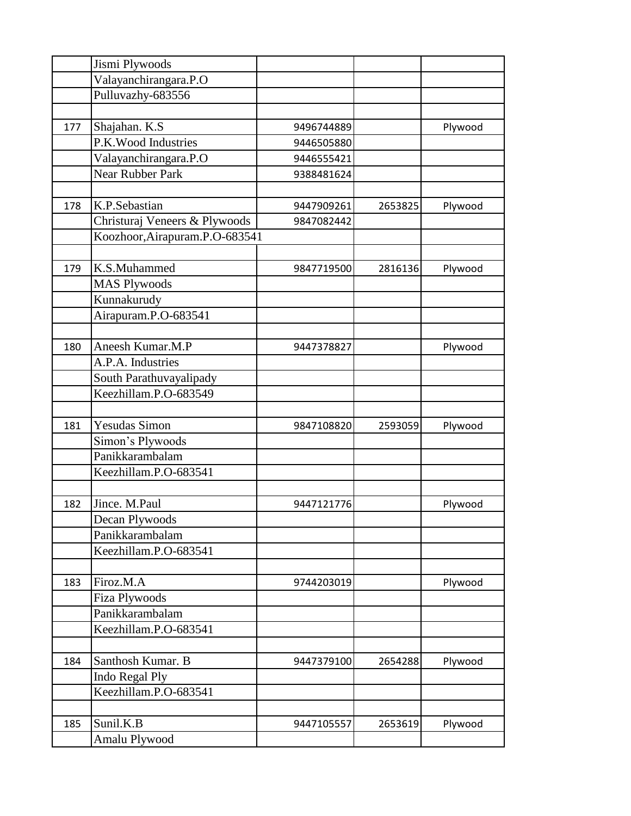| Valayanchirangara.P.O<br>Pulluvazhy-683556<br>Shajahan. K.S<br>177<br>9496744889<br>Plywood<br>P.K. Wood Industries<br>9446505880 |  |
|-----------------------------------------------------------------------------------------------------------------------------------|--|
|                                                                                                                                   |  |
|                                                                                                                                   |  |
|                                                                                                                                   |  |
|                                                                                                                                   |  |
|                                                                                                                                   |  |
| Valayanchirangara.P.O<br>9446555421                                                                                               |  |
| <b>Near Rubber Park</b><br>9388481624                                                                                             |  |
|                                                                                                                                   |  |
| K.P.Sebastian<br>178<br>9447909261<br>2653825<br>Plywood                                                                          |  |
| Christuraj Veneers & Plywoods<br>9847082442                                                                                       |  |
| Koozhoor, Airapuram.P.O-683541                                                                                                    |  |
|                                                                                                                                   |  |
| K.S.Muhammed<br>179<br>Plywood<br>9847719500<br>2816136                                                                           |  |
| <b>MAS Plywoods</b>                                                                                                               |  |
| Kunnakurudy                                                                                                                       |  |
| Airapuram.P.O-683541                                                                                                              |  |
|                                                                                                                                   |  |
| Aneesh Kumar.M.P<br>180<br>Plywood<br>9447378827                                                                                  |  |
| A.P.A. Industries                                                                                                                 |  |
| South Parathuvayalipady                                                                                                           |  |
| Keezhillam.P.O-683549                                                                                                             |  |
|                                                                                                                                   |  |
| <b>Yesudas Simon</b><br>181<br>9847108820<br>2593059<br>Plywood                                                                   |  |
| Simon's Plywoods                                                                                                                  |  |
| Panikkarambalam                                                                                                                   |  |
| Keezhillam.P.O-683541                                                                                                             |  |
|                                                                                                                                   |  |
| Jince. M.Paul<br>182<br>9447121776<br>Plywood                                                                                     |  |
| Decan Plywoods                                                                                                                    |  |
| Panikkarambalam                                                                                                                   |  |
| Keezhillam.P.O-683541                                                                                                             |  |
|                                                                                                                                   |  |
| Firoz.M.A<br>183<br>9744203019<br>Plywood                                                                                         |  |
| <b>Fiza Plywoods</b>                                                                                                              |  |
| Panikkarambalam                                                                                                                   |  |
| Keezhillam.P.O-683541                                                                                                             |  |
|                                                                                                                                   |  |
|                                                                                                                                   |  |
| Santhosh Kumar. B<br>184<br>9447379100<br>2654288<br>Plywood                                                                      |  |
|                                                                                                                                   |  |
| Indo Regal Ply<br>Keezhillam.P.O-683541                                                                                           |  |
|                                                                                                                                   |  |
| Sunil.K.B<br>185<br>Plywood<br>9447105557<br>2653619                                                                              |  |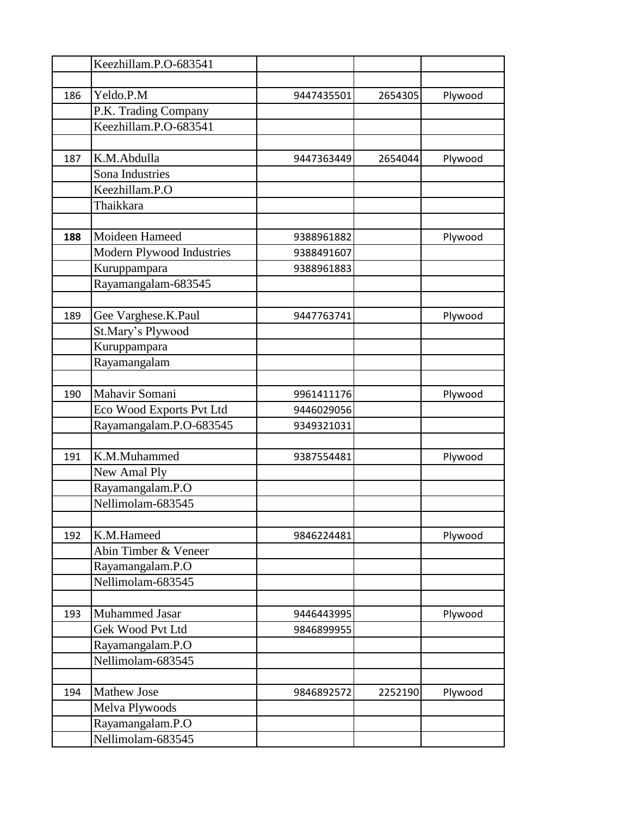|     | Keezhillam.P.O-683541     |            |         |         |
|-----|---------------------------|------------|---------|---------|
|     |                           |            |         |         |
| 186 | Yeldo.P.M                 | 9447435501 | 2654305 | Plywood |
|     | P.K. Trading Company      |            |         |         |
|     | Keezhillam.P.O-683541     |            |         |         |
|     |                           |            |         |         |
| 187 | K.M.Abdulla               | 9447363449 | 2654044 | Plywood |
|     | Sona Industries           |            |         |         |
|     | Keezhillam.P.O            |            |         |         |
|     | Thaikkara                 |            |         |         |
|     |                           |            |         |         |
| 188 | Moideen Hameed            | 9388961882 |         | Plywood |
|     | Modern Plywood Industries | 9388491607 |         |         |
|     | Kuruppampara              | 9388961883 |         |         |
|     | Rayamangalam-683545       |            |         |         |
|     |                           |            |         |         |
| 189 | Gee Varghese.K.Paul       | 9447763741 |         | Plywood |
|     | St.Mary's Plywood         |            |         |         |
|     | Kuruppampara              |            |         |         |
|     | Rayamangalam              |            |         |         |
|     |                           |            |         |         |
| 190 | Mahavir Somani            | 9961411176 |         | Plywood |
|     | Eco Wood Exports Pvt Ltd  | 9446029056 |         |         |
|     | Rayamangalam.P.O-683545   | 9349321031 |         |         |
|     |                           |            |         |         |
| 191 | K.M.Muhammed              | 9387554481 |         | Plywood |
|     | New Amal Ply              |            |         |         |
|     | Rayamangalam.P.O          |            |         |         |
|     | Nellimolam-683545         |            |         |         |
|     |                           |            |         |         |
| 192 | K.M.Hameed                | 9846224481 |         | Plywood |
|     | Abin Timber & Veneer      |            |         |         |
|     | Rayamangalam.P.O          |            |         |         |
|     | Nellimolam-683545         |            |         |         |
|     |                           |            |         |         |
| 193 | Muhammed Jasar            | 9446443995 |         | Plywood |
|     | Gek Wood Pvt Ltd          | 9846899955 |         |         |
|     | Rayamangalam.P.O          |            |         |         |
|     | Nellimolam-683545         |            |         |         |
|     |                           |            |         |         |
| 194 | <b>Mathew Jose</b>        | 9846892572 | 2252190 | Plywood |
|     | Melva Plywoods            |            |         |         |
|     | Rayamangalam.P.O          |            |         |         |
|     | Nellimolam-683545         |            |         |         |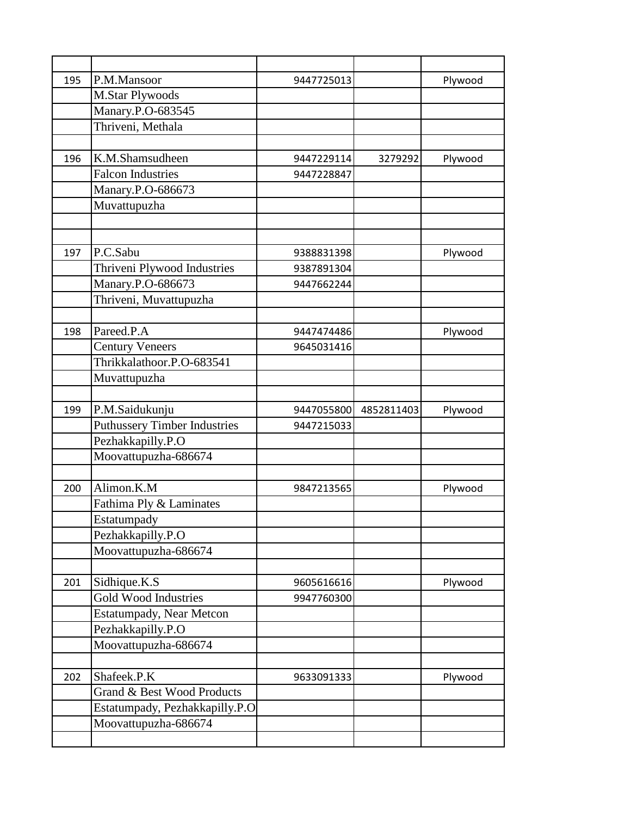| 195 | P.M.Mansoor                         | 9447725013 |            | Plywood |
|-----|-------------------------------------|------------|------------|---------|
|     | <b>M.Star Plywoods</b>              |            |            |         |
|     | Manary.P.O-683545                   |            |            |         |
|     | Thriveni, Methala                   |            |            |         |
|     |                                     |            |            |         |
| 196 | K.M.Shamsudheen                     | 9447229114 | 3279292    | Plywood |
|     | <b>Falcon Industries</b>            | 9447228847 |            |         |
|     | Manary.P.O-686673                   |            |            |         |
|     | Muvattupuzha                        |            |            |         |
|     |                                     |            |            |         |
|     |                                     |            |            |         |
| 197 | P.C.Sabu                            | 9388831398 |            | Plywood |
|     | Thriveni Plywood Industries         | 9387891304 |            |         |
|     | Manary.P.O-686673                   | 9447662244 |            |         |
|     | Thriveni, Muvattupuzha              |            |            |         |
|     |                                     |            |            |         |
| 198 | Pareed.P.A                          | 9447474486 |            | Plywood |
|     | <b>Century Veneers</b>              | 9645031416 |            |         |
|     | Thrikkalathoor.P.O-683541           |            |            |         |
|     | Muvattupuzha                        |            |            |         |
|     |                                     |            |            |         |
|     |                                     |            |            |         |
| 199 | P.M.Saidukunju                      | 9447055800 | 4852811403 | Plywood |
|     | <b>Puthussery Timber Industries</b> | 9447215033 |            |         |
|     | Pezhakkapilly.P.O                   |            |            |         |
|     | Moovattupuzha-686674                |            |            |         |
|     |                                     |            |            |         |
| 200 | Alimon.K.M                          | 9847213565 |            | Plywood |
|     | Fathima Ply & Laminates             |            |            |         |
|     | Estatumpady                         |            |            |         |
|     | Pezhakkapilly.P.O                   |            |            |         |
|     | Moovattupuzha-686674                |            |            |         |
|     |                                     |            |            |         |
| 201 | Sidhique.K.S                        | 9605616616 |            | Plywood |
|     | <b>Gold Wood Industries</b>         | 9947760300 |            |         |
|     | <b>Estatumpady, Near Metcon</b>     |            |            |         |
|     | Pezhakkapilly.P.O                   |            |            |         |
|     | Moovattupuzha-686674                |            |            |         |
|     |                                     |            |            |         |
| 202 | Shafeek.P.K                         | 9633091333 |            | Plywood |
|     | Grand & Best Wood Products          |            |            |         |
|     | Estatumpady, Pezhakkapilly.P.O      |            |            |         |
|     | Moovattupuzha-686674                |            |            |         |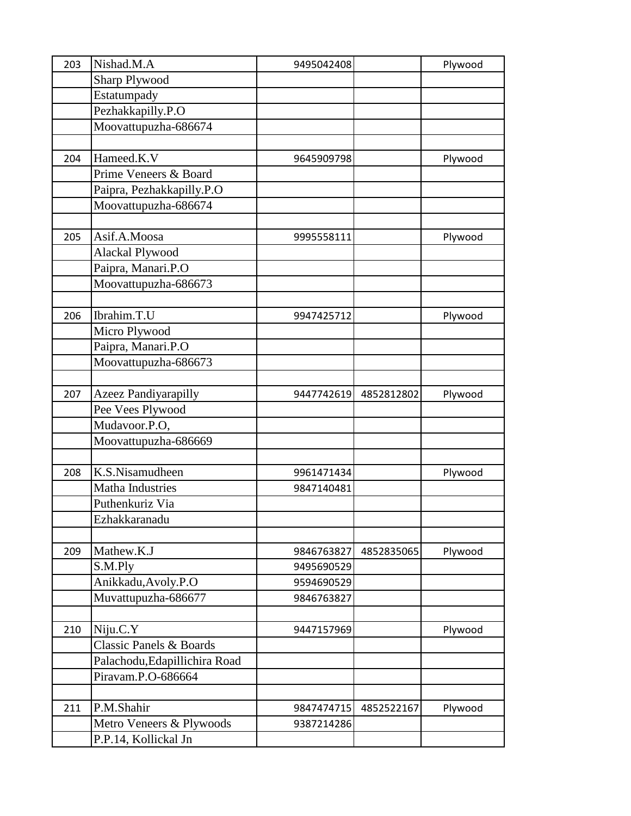| 203 | Nishad.M.A                         | 9495042408 |            | Plywood |
|-----|------------------------------------|------------|------------|---------|
|     | <b>Sharp Plywood</b>               |            |            |         |
|     | Estatumpady                        |            |            |         |
|     | Pezhakkapilly.P.O                  |            |            |         |
|     | Moovattupuzha-686674               |            |            |         |
|     |                                    |            |            |         |
| 204 | Hameed.K.V                         | 9645909798 |            | Plywood |
|     | Prime Veneers & Board              |            |            |         |
|     | Paipra, Pezhakkapilly.P.O          |            |            |         |
|     | Moovattupuzha-686674               |            |            |         |
|     |                                    |            |            |         |
| 205 | Asif.A.Moosa                       | 9995558111 |            | Plywood |
|     | Alackal Plywood                    |            |            |         |
|     | Paipra, Manari.P.O                 |            |            |         |
|     | Moovattupuzha-686673               |            |            |         |
|     |                                    |            |            |         |
| 206 | Ibrahim.T.U                        | 9947425712 |            | Plywood |
|     | Micro Plywood                      |            |            |         |
|     | Paipra, Manari.P.O                 |            |            |         |
|     | Moovattupuzha-686673               |            |            |         |
|     |                                    |            |            |         |
| 207 | <b>Azeez Pandiyarapilly</b>        | 9447742619 | 4852812802 | Plywood |
|     | Pee Vees Plywood                   |            |            |         |
|     | Mudavoor.P.O,                      |            |            |         |
|     | Moovattupuzha-686669               |            |            |         |
|     |                                    |            |            |         |
| 208 | K.S.Nisamudheen                    | 9961471434 |            | Plywood |
|     | <b>Matha Industries</b>            | 9847140481 |            |         |
|     | Puthenkuriz Via                    |            |            |         |
|     | Ezhakkaranadu                      |            |            |         |
|     |                                    |            |            |         |
| 209 | Mathew.K.J                         | 9846763827 | 4852835065 | Plywood |
|     | S.M.Ply                            | 9495690529 |            |         |
|     | Anikkadu, Avoly.P.O                | 9594690529 |            |         |
|     | Muvattupuzha-686677                | 9846763827 |            |         |
|     |                                    |            |            |         |
| 210 | Niju.C.Y                           | 9447157969 |            | Plywood |
|     | <b>Classic Panels &amp; Boards</b> |            |            |         |
|     | Palachodu, Edapillichira Road      |            |            |         |
|     | Piravam.P.O-686664                 |            |            |         |
|     |                                    |            |            |         |
| 211 | P.M.Shahir                         | 9847474715 | 4852522167 | Plywood |
|     | Metro Veneers & Plywoods           | 9387214286 |            |         |
|     | P.P.14, Kollickal Jn               |            |            |         |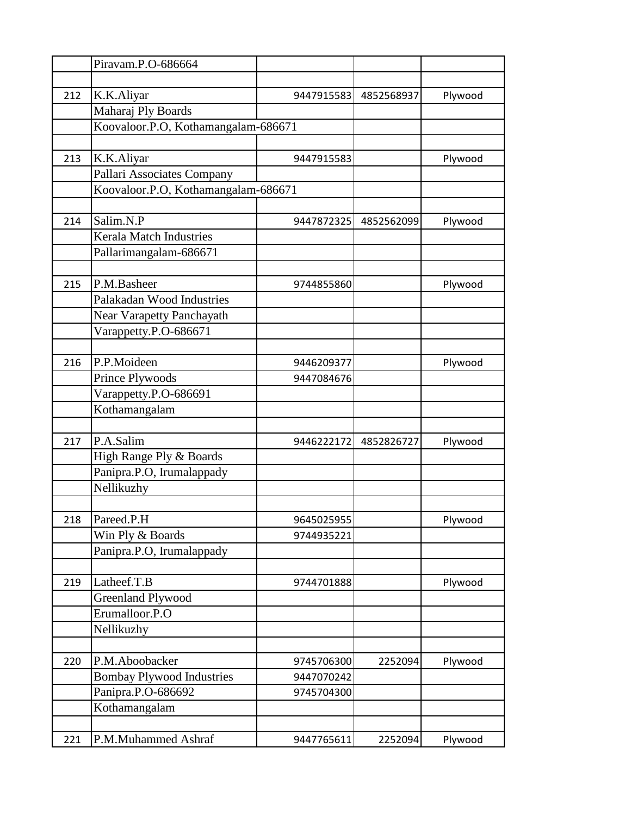|     | Piravam.P.O-686664                  |            |            |         |
|-----|-------------------------------------|------------|------------|---------|
|     |                                     |            |            |         |
| 212 | K.K.Aliyar                          | 9447915583 | 4852568937 | Plywood |
|     | Maharaj Ply Boards                  |            |            |         |
|     | Koovaloor.P.O, Kothamangalam-686671 |            |            |         |
|     |                                     |            |            |         |
| 213 | K.K.Aliyar                          | 9447915583 |            | Plywood |
|     | Pallari Associates Company          |            |            |         |
|     | Koovaloor.P.O, Kothamangalam-686671 |            |            |         |
|     |                                     |            |            |         |
| 214 | Salim.N.P                           | 9447872325 | 4852562099 | Plywood |
|     | <b>Kerala Match Industries</b>      |            |            |         |
|     | Pallarimangalam-686671              |            |            |         |
|     |                                     |            |            |         |
| 215 | P.M.Basheer                         | 9744855860 |            | Plywood |
|     | Palakadan Wood Industries           |            |            |         |
|     | <b>Near Varapetty Panchayath</b>    |            |            |         |
|     | Varappetty.P.O-686671               |            |            |         |
|     |                                     |            |            |         |
| 216 | P.P.Moideen                         | 9446209377 |            | Plywood |
|     | Prince Plywoods                     | 9447084676 |            |         |
|     | Varappetty.P.O-686691               |            |            |         |
|     | Kothamangalam                       |            |            |         |
|     |                                     |            |            |         |
| 217 | P.A.Salim                           | 9446222172 | 4852826727 | Plywood |
|     | High Range Ply & Boards             |            |            |         |
|     | Panipra.P.O, Irumalappady           |            |            |         |
|     | Nellikuzhy                          |            |            |         |
|     |                                     |            |            |         |
| 218 | Pareed.P.H                          | 9645025955 |            | Plywood |
|     | Win Ply & Boards                    | 9744935221 |            |         |
|     | Panipra.P.O, Irumalappady           |            |            |         |
|     |                                     |            |            |         |
| 219 | Latheef.T.B                         | 9744701888 |            | Plywood |
|     | <b>Greenland Plywood</b>            |            |            |         |
|     | Erumalloor.P.O                      |            |            |         |
|     | Nellikuzhy                          |            |            |         |
|     |                                     |            |            |         |
| 220 | P.M.Aboobacker                      | 9745706300 | 2252094    | Plywood |
|     | <b>Bombay Plywood Industries</b>    | 9447070242 |            |         |
|     | Panipra.P.O-686692                  | 9745704300 |            |         |
|     | Kothamangalam                       |            |            |         |
|     |                                     |            |            |         |
| 221 | P.M.Muhammed Ashraf                 | 9447765611 | 2252094    | Plywood |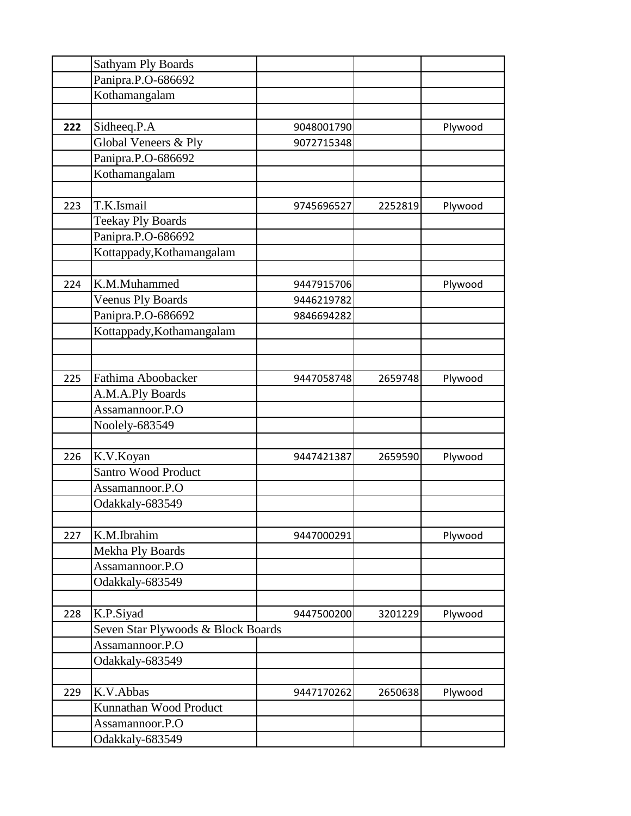|     | Sathyam Ply Boards                 |            |         |         |
|-----|------------------------------------|------------|---------|---------|
|     | Panipra.P.O-686692                 |            |         |         |
|     | Kothamangalam                      |            |         |         |
|     |                                    |            |         |         |
| 222 | Sidheeq.P.A                        | 9048001790 |         | Plywood |
|     | Global Veneers & Ply               | 9072715348 |         |         |
|     | Panipra.P.O-686692                 |            |         |         |
|     | Kothamangalam                      |            |         |         |
|     |                                    |            |         |         |
| 223 | T.K.Ismail                         | 9745696527 | 2252819 | Plywood |
|     | <b>Teekay Ply Boards</b>           |            |         |         |
|     | Panipra.P.O-686692                 |            |         |         |
|     | Kottappady, Kothamangalam          |            |         |         |
|     |                                    |            |         |         |
| 224 | K.M.Muhammed                       | 9447915706 |         | Plywood |
|     | <b>Veenus Ply Boards</b>           | 9446219782 |         |         |
|     | Panipra.P.O-686692                 | 9846694282 |         |         |
|     | Kottappady, Kothamangalam          |            |         |         |
|     |                                    |            |         |         |
|     |                                    |            |         |         |
| 225 | Fathima Aboobacker                 | 9447058748 | 2659748 | Plywood |
|     | A.M.A.Ply Boards                   |            |         |         |
|     | Assamannoor.P.O                    |            |         |         |
|     | Noolely-683549                     |            |         |         |
|     |                                    |            |         |         |
| 226 | K.V.Koyan                          | 9447421387 | 2659590 | Plywood |
|     | <b>Santro Wood Product</b>         |            |         |         |
|     | Assamannoor.P.O                    |            |         |         |
|     | Odakkaly-683549                    |            |         |         |
|     |                                    |            |         |         |
| 227 | K.M.Ibrahim                        | 9447000291 |         | Plywood |
|     | Mekha Ply Boards                   |            |         |         |
|     | Assamannoor.P.O                    |            |         |         |
|     | Odakkaly-683549                    |            |         |         |
|     |                                    |            |         |         |
| 228 | K.P.Siyad                          | 9447500200 | 3201229 | Plywood |
|     | Seven Star Plywoods & Block Boards |            |         |         |
|     | Assamannoor.P.O                    |            |         |         |
|     | Odakkaly-683549                    |            |         |         |
|     |                                    |            |         |         |
| 229 | K.V.Abbas                          | 9447170262 | 2650638 | Plywood |
|     | Kunnathan Wood Product             |            |         |         |
|     | Assamannoor.P.O                    |            |         |         |
|     | Odakkaly-683549                    |            |         |         |
|     |                                    |            |         |         |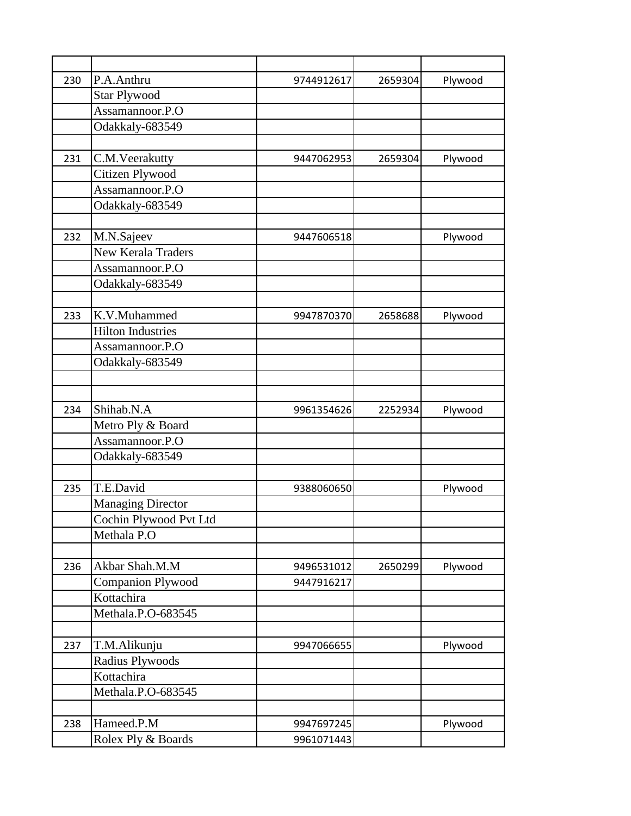| 230 | P.A.Anthru               | 9744912617 | 2659304 | Plywood |
|-----|--------------------------|------------|---------|---------|
|     | <b>Star Plywood</b>      |            |         |         |
|     | Assamannoor.P.O          |            |         |         |
|     | Odakkaly-683549          |            |         |         |
|     |                          |            |         |         |
| 231 | C.M.Veerakutty           | 9447062953 | 2659304 | Plywood |
|     | Citizen Plywood          |            |         |         |
|     | Assamannoor.P.O          |            |         |         |
|     | Odakkaly-683549          |            |         |         |
|     |                          |            |         |         |
| 232 | M.N.Sajeev               | 9447606518 |         | Plywood |
|     | New Kerala Traders       |            |         |         |
|     | Assamannoor.P.O          |            |         |         |
|     | Odakkaly-683549          |            |         |         |
|     |                          |            |         |         |
| 233 | K.V.Muhammed             | 9947870370 | 2658688 | Plywood |
|     | <b>Hilton Industries</b> |            |         |         |
|     | Assamannoor.P.O          |            |         |         |
|     | Odakkaly-683549          |            |         |         |
|     |                          |            |         |         |
|     |                          |            |         |         |
| 234 | Shihab.N.A               | 9961354626 | 2252934 | Plywood |
|     | Metro Ply & Board        |            |         |         |
|     | Assamannoor.P.O          |            |         |         |
|     | Odakkaly-683549          |            |         |         |
|     |                          |            |         |         |
| 235 | T.E.David                | 9388060650 |         | Plywood |
|     | <b>Managing Director</b> |            |         |         |
|     | Cochin Plywood Pvt Ltd   |            |         |         |
|     | Methala P.O              |            |         |         |
|     |                          |            |         |         |
| 236 | Akbar Shah.M.M           | 9496531012 | 2650299 | Plywood |
|     | <b>Companion Plywood</b> | 9447916217 |         |         |
|     | Kottachira               |            |         |         |
|     | Methala.P.O-683545       |            |         |         |
|     |                          |            |         |         |
| 237 | T.M.Alikunju             | 9947066655 |         | Plywood |
|     | Radius Plywoods          |            |         |         |
|     | Kottachira               |            |         |         |
|     | Methala.P.O-683545       |            |         |         |
|     |                          |            |         |         |
| 238 | Hameed.P.M               | 9947697245 |         | Plywood |
|     | Rolex Ply & Boards       | 9961071443 |         |         |
|     |                          |            |         |         |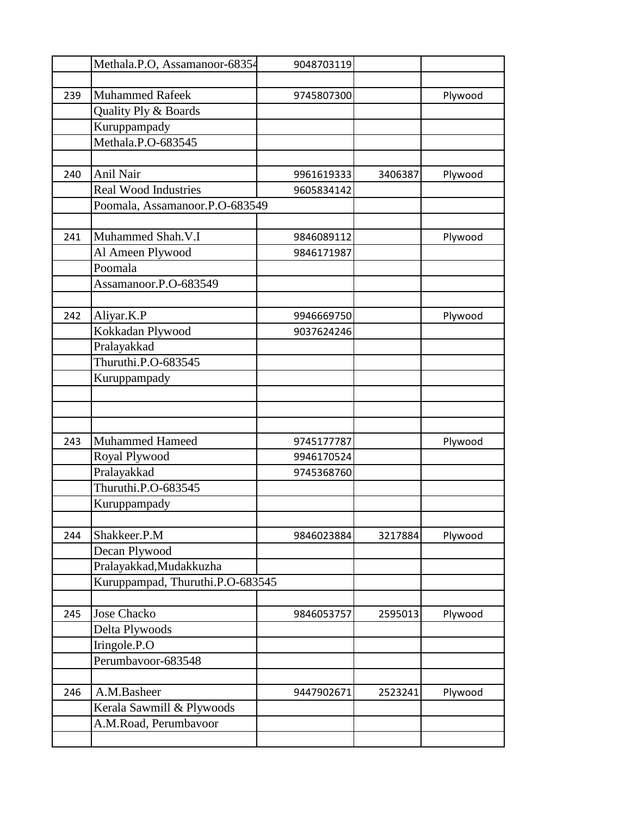|     | Methala.P.O, Assamanoor-68354    | 9048703119 |         |         |
|-----|----------------------------------|------------|---------|---------|
|     |                                  |            |         |         |
| 239 | <b>Muhammed Rafeek</b>           | 9745807300 |         | Plywood |
|     | Quality Ply & Boards             |            |         |         |
|     | Kuruppampady                     |            |         |         |
|     | Methala.P.O-683545               |            |         |         |
|     |                                  |            |         |         |
| 240 | Anil Nair                        | 9961619333 | 3406387 | Plywood |
|     | <b>Real Wood Industries</b>      | 9605834142 |         |         |
|     | Poomala, Assamanoor.P.O-683549   |            |         |         |
|     |                                  |            |         |         |
| 241 | Muhammed Shah.V.I                | 9846089112 |         | Plywood |
|     | Al Ameen Plywood                 | 9846171987 |         |         |
|     | Poomala                          |            |         |         |
|     | Assamanoor.P.O-683549            |            |         |         |
|     |                                  |            |         |         |
| 242 | Aliyar.K.P                       | 9946669750 |         | Plywood |
|     | Kokkadan Plywood                 | 9037624246 |         |         |
|     | Pralayakkad                      |            |         |         |
|     | Thuruthi.P.O-683545              |            |         |         |
|     | Kuruppampady                     |            |         |         |
|     |                                  |            |         |         |
|     |                                  |            |         |         |
|     |                                  |            |         |         |
| 243 | Muhammed Hameed                  | 9745177787 |         | Plywood |
|     | Royal Plywood                    | 9946170524 |         |         |
|     | Pralayakkad                      | 9745368760 |         |         |
|     | Thuruthi.P.O-683545              |            |         |         |
|     | Kuruppampady                     |            |         |         |
|     |                                  |            |         |         |
| 244 | Shakkeer.P.M                     | 9846023884 | 3217884 | Plywood |
|     | Decan Plywood                    |            |         |         |
|     | Pralayakkad, Mudakkuzha          |            |         |         |
|     | Kuruppampad, Thuruthi.P.O-683545 |            |         |         |
|     |                                  |            |         |         |
| 245 | Jose Chacko                      | 9846053757 | 2595013 | Plywood |
|     | Delta Plywoods                   |            |         |         |
|     | Iringole.P.O                     |            |         |         |
|     | Perumbavoor-683548               |            |         |         |
|     |                                  |            |         |         |
| 246 | A.M.Basheer                      | 9447902671 | 2523241 | Plywood |
|     | Kerala Sawmill & Plywoods        |            |         |         |
|     | A.M.Road, Perumbavoor            |            |         |         |
|     |                                  |            |         |         |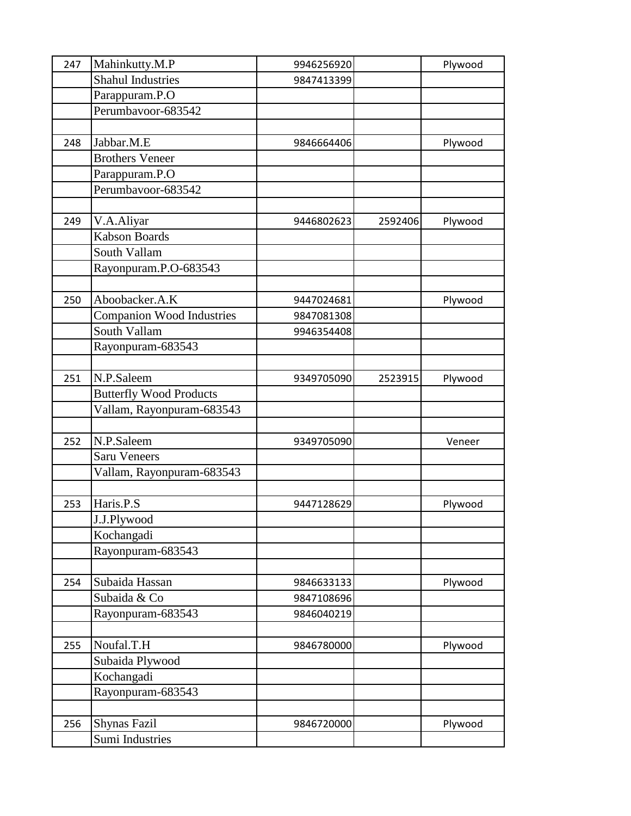| 247 | Mahinkutty.M.P                 | 9946256920 |         | Plywood |
|-----|--------------------------------|------------|---------|---------|
|     | <b>Shahul Industries</b>       | 9847413399 |         |         |
|     | Parappuram.P.O                 |            |         |         |
|     | Perumbavoor-683542             |            |         |         |
|     |                                |            |         |         |
| 248 | Jabbar.M.E                     | 9846664406 |         | Plywood |
|     | <b>Brothers Veneer</b>         |            |         |         |
|     | Parappuram.P.O                 |            |         |         |
|     | Perumbavoor-683542             |            |         |         |
|     |                                |            |         |         |
| 249 | V.A.Aliyar                     | 9446802623 | 2592406 | Plywood |
|     | <b>Kabson Boards</b>           |            |         |         |
|     | South Vallam                   |            |         |         |
|     | Rayonpuram.P.O-683543          |            |         |         |
|     |                                |            |         |         |
| 250 | Aboobacker.A.K                 | 9447024681 |         | Plywood |
|     | Companion Wood Industries      | 9847081308 |         |         |
|     | South Vallam                   | 9946354408 |         |         |
|     | Rayonpuram-683543              |            |         |         |
|     |                                |            |         |         |
| 251 | N.P.Saleem                     | 9349705090 | 2523915 | Plywood |
|     | <b>Butterfly Wood Products</b> |            |         |         |
|     | Vallam, Rayonpuram-683543      |            |         |         |
|     |                                |            |         |         |
| 252 | N.P.Saleem                     | 9349705090 |         | Veneer  |
|     | <b>Saru Veneers</b>            |            |         |         |
|     | Vallam, Rayonpuram-683543      |            |         |         |
|     |                                |            |         |         |
| 253 | Haris.P.S                      | 9447128629 |         | Plywood |
|     | J.J.Plywood                    |            |         |         |
|     | Kochangadi                     |            |         |         |
|     | Rayonpuram-683543              |            |         |         |
|     |                                |            |         |         |
| 254 | Subaida Hassan                 | 9846633133 |         | Plywood |
|     | Subaida & Co                   | 9847108696 |         |         |
|     | Rayonpuram-683543              | 9846040219 |         |         |
|     |                                |            |         |         |
| 255 | Noufal.T.H                     | 9846780000 |         | Plywood |
|     | Subaida Plywood                |            |         |         |
|     | Kochangadi                     |            |         |         |
|     | Rayonpuram-683543              |            |         |         |
|     |                                |            |         |         |
| 256 | <b>Shynas Fazil</b>            | 9846720000 |         | Plywood |
|     | Sumi Industries                |            |         |         |
|     |                                |            |         |         |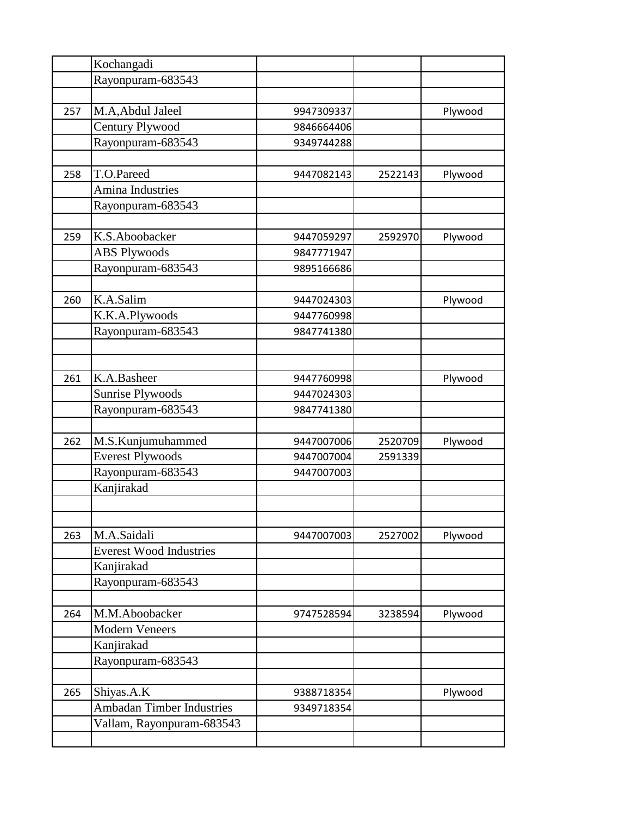|     | Kochangadi                       |            |         |         |
|-----|----------------------------------|------------|---------|---------|
|     | Rayonpuram-683543                |            |         |         |
|     |                                  |            |         |         |
| 257 | M.A, Abdul Jaleel                | 9947309337 |         | Plywood |
|     | Century Plywood                  | 9846664406 |         |         |
|     | Rayonpuram-683543                | 9349744288 |         |         |
|     |                                  |            |         |         |
| 258 | T.O.Pareed                       | 9447082143 | 2522143 | Plywood |
|     | Amina Industries                 |            |         |         |
|     | Rayonpuram-683543                |            |         |         |
|     |                                  |            |         |         |
| 259 | K.S.Aboobacker                   | 9447059297 | 2592970 | Plywood |
|     | <b>ABS Plywoods</b>              | 9847771947 |         |         |
|     | Rayonpuram-683543                | 9895166686 |         |         |
|     |                                  |            |         |         |
| 260 | K.A.Salim                        | 9447024303 |         | Plywood |
|     | K.K.A.Plywoods                   | 9447760998 |         |         |
|     | Rayonpuram-683543                | 9847741380 |         |         |
|     |                                  |            |         |         |
|     |                                  |            |         |         |
| 261 | K.A.Basheer                      | 9447760998 |         | Plywood |
|     | <b>Sunrise Plywoods</b>          | 9447024303 |         |         |
|     | Rayonpuram-683543                | 9847741380 |         |         |
|     |                                  |            |         |         |
| 262 | M.S.Kunjumuhammed                | 9447007006 | 2520709 | Plywood |
|     | <b>Everest Plywoods</b>          | 9447007004 | 2591339 |         |
|     | Rayonpuram-683543                | 9447007003 |         |         |
|     | Kanjirakad                       |            |         |         |
|     |                                  |            |         |         |
|     |                                  |            |         |         |
| 263 | M.A.Saidali                      | 9447007003 | 2527002 | Plywood |
|     | <b>Everest Wood Industries</b>   |            |         |         |
|     | Kanjirakad                       |            |         |         |
|     | Rayonpuram-683543                |            |         |         |
|     |                                  |            |         |         |
| 264 | M.M.Aboobacker                   | 9747528594 | 3238594 | Plywood |
|     | <b>Modern Veneers</b>            |            |         |         |
|     | Kanjirakad                       |            |         |         |
|     | Rayonpuram-683543                |            |         |         |
|     |                                  |            |         |         |
| 265 | Shiyas.A.K                       | 9388718354 |         | Plywood |
|     | <b>Ambadan Timber Industries</b> | 9349718354 |         |         |
|     | Vallam, Rayonpuram-683543        |            |         |         |
|     |                                  |            |         |         |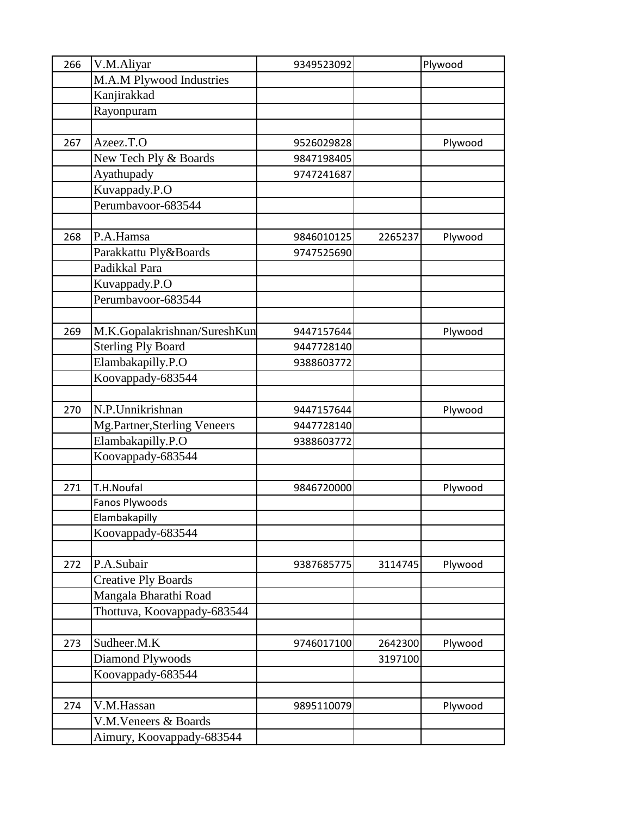| 266 | V.M.Aliyar                   | 9349523092 |         | Plywood |
|-----|------------------------------|------------|---------|---------|
|     | M.A.M Plywood Industries     |            |         |         |
|     | Kanjirakkad                  |            |         |         |
|     | Rayonpuram                   |            |         |         |
|     |                              |            |         |         |
| 267 | Azeez.T.O                    | 9526029828 |         | Plywood |
|     | New Tech Ply & Boards        | 9847198405 |         |         |
|     | Ayathupady                   | 9747241687 |         |         |
|     | Kuvappady.P.O                |            |         |         |
|     | Perumbavoor-683544           |            |         |         |
|     |                              |            |         |         |
| 268 | P.A.Hamsa                    | 9846010125 | 2265237 | Plywood |
|     | Parakkattu Ply&Boards        | 9747525690 |         |         |
|     | Padikkal Para                |            |         |         |
|     | Kuvappady.P.O                |            |         |         |
|     | Perumbavoor-683544           |            |         |         |
|     |                              |            |         |         |
| 269 | M.K.Gopalakrishnan/SureshKun | 9447157644 |         | Plywood |
|     | <b>Sterling Ply Board</b>    | 9447728140 |         |         |
|     | Elambakapilly.P.O            | 9388603772 |         |         |
|     | Koovappady-683544            |            |         |         |
|     |                              |            |         |         |
| 270 | N.P.Unnikrishnan             | 9447157644 |         | Plywood |
|     | Mg.Partner,Sterling Veneers  | 9447728140 |         |         |
|     | Elambakapilly.P.O            | 9388603772 |         |         |
|     | Koovappady-683544            |            |         |         |
|     |                              |            |         |         |
| 271 | T.H.Noufal                   | 9846720000 |         | Plywood |
|     | Fanos Plywoods               |            |         |         |
|     | Elambakapilly                |            |         |         |
|     | Koovappady-683544            |            |         |         |
|     |                              |            |         |         |
| 272 | P.A.Subair                   | 9387685775 | 3114745 | Plywood |
|     | <b>Creative Ply Boards</b>   |            |         |         |
|     | Mangala Bharathi Road        |            |         |         |
|     | Thottuva, Koovappady-683544  |            |         |         |
|     |                              |            |         |         |
| 273 | Sudheer.M.K                  | 9746017100 | 2642300 | Plywood |
|     | Diamond Plywoods             |            | 3197100 |         |
|     | Koovappady-683544            |            |         |         |
|     |                              |            |         |         |
| 274 | V.M.Hassan                   | 9895110079 |         | Plywood |
|     | V.M. Veneers & Boards        |            |         |         |
|     | Aimury, Koovappady-683544    |            |         |         |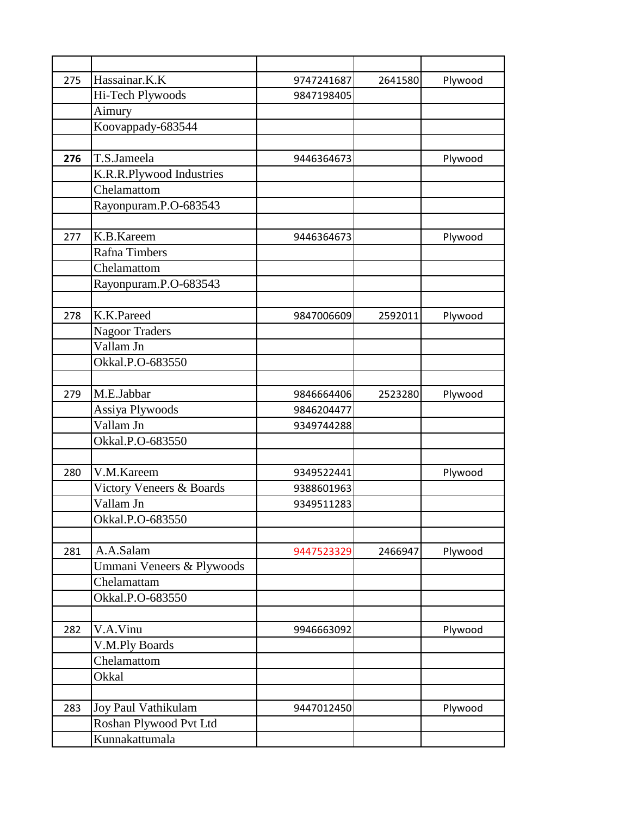| 275 | Hassainar.K.K                            | 9747241687 | 2641580 | Plywood |
|-----|------------------------------------------|------------|---------|---------|
|     | Hi-Tech Plywoods                         | 9847198405 |         |         |
|     | Aimury                                   |            |         |         |
|     | Koovappady-683544                        |            |         |         |
|     |                                          |            |         |         |
| 276 | T.S.Jameela                              | 9446364673 |         | Plywood |
|     | K.R.R.Plywood Industries                 |            |         |         |
|     | Chelamattom                              |            |         |         |
|     | Rayonpuram.P.O-683543                    |            |         |         |
|     |                                          |            |         |         |
| 277 | K.B.Kareem                               | 9446364673 |         | Plywood |
|     | Rafna Timbers                            |            |         |         |
|     | Chelamattom                              |            |         |         |
|     | Rayonpuram.P.O-683543                    |            |         |         |
|     |                                          |            |         |         |
| 278 | K.K.Pareed                               | 9847006609 | 2592011 | Plywood |
|     | <b>Nagoor Traders</b>                    |            |         |         |
|     | Vallam Jn                                |            |         |         |
|     | Okkal.P.O-683550                         |            |         |         |
|     |                                          |            |         |         |
| 279 | M.E.Jabbar                               | 9846664406 | 2523280 | Plywood |
|     | Assiya Plywoods                          | 9846204477 |         |         |
|     | Vallam Jn                                | 9349744288 |         |         |
|     | Okkal.P.O-683550                         |            |         |         |
|     |                                          |            |         |         |
| 280 | V.M.Kareem                               | 9349522441 |         | Plywood |
|     | Victory Veneers & Boards                 | 9388601963 |         |         |
|     | Vallam Jn                                | 9349511283 |         |         |
|     | Okkal.P.O-683550                         |            |         |         |
|     |                                          |            |         |         |
| 281 | A.A.Salam                                | 9447523329 | 2466947 | Plywood |
|     | Ummani Veneers & Plywoods                |            |         |         |
|     | Chelamattam                              |            |         |         |
|     | Okkal.P.O-683550                         |            |         |         |
|     |                                          |            |         |         |
| 282 | V.A.Vinu                                 | 9946663092 |         | Plywood |
|     | V.M.Ply Boards<br>Chelamattom            |            |         |         |
|     |                                          |            |         |         |
|     | Okkal                                    |            |         |         |
| 283 |                                          |            |         |         |
|     | Joy Paul Vathikulam                      | 9447012450 |         | Plywood |
|     | Roshan Plywood Pvt Ltd<br>Kunnakattumala |            |         |         |
|     |                                          |            |         |         |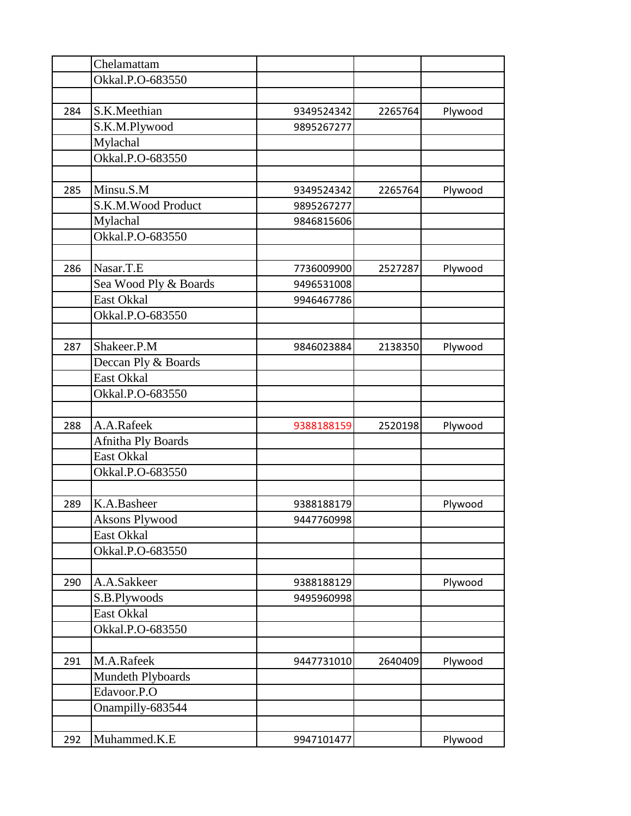| Okkal.P.O-683550<br>S.K.Meethian<br>284<br>Plywood<br>9349524342<br>2265764<br>S.K.M.Plywood<br>9895267277<br>Mylachal<br>Okkal.P.O-683550<br>Minsu.S.M<br>285<br>9349524342<br>2265764<br>Plywood<br>S.K.M.Wood Product<br>9895267277<br>Mylachal<br>9846815606<br>Okkal.P.O-683550<br>Nasar.T.E<br>286<br>7736009900<br>2527287<br>Plywood<br>Sea Wood Ply & Boards<br>9496531008<br><b>East Okkal</b><br>9946467786<br>Okkal.P.O-683550<br>Shakeer.P.M<br>287<br>Plywood<br>9846023884<br>2138350<br>Deccan Ply & Boards<br><b>East Okkal</b><br>Okkal.P.O-683550<br>A.A.Rafeek<br>288<br>9388188159<br>2520198<br>Plywood<br>Afnitha Ply Boards<br>East Okkal | Chelamattam      |  |  |
|-------------------------------------------------------------------------------------------------------------------------------------------------------------------------------------------------------------------------------------------------------------------------------------------------------------------------------------------------------------------------------------------------------------------------------------------------------------------------------------------------------------------------------------------------------------------------------------------------------------------------------------------------------------------|------------------|--|--|
|                                                                                                                                                                                                                                                                                                                                                                                                                                                                                                                                                                                                                                                                   |                  |  |  |
|                                                                                                                                                                                                                                                                                                                                                                                                                                                                                                                                                                                                                                                                   |                  |  |  |
|                                                                                                                                                                                                                                                                                                                                                                                                                                                                                                                                                                                                                                                                   |                  |  |  |
|                                                                                                                                                                                                                                                                                                                                                                                                                                                                                                                                                                                                                                                                   |                  |  |  |
|                                                                                                                                                                                                                                                                                                                                                                                                                                                                                                                                                                                                                                                                   |                  |  |  |
|                                                                                                                                                                                                                                                                                                                                                                                                                                                                                                                                                                                                                                                                   |                  |  |  |
|                                                                                                                                                                                                                                                                                                                                                                                                                                                                                                                                                                                                                                                                   |                  |  |  |
|                                                                                                                                                                                                                                                                                                                                                                                                                                                                                                                                                                                                                                                                   |                  |  |  |
|                                                                                                                                                                                                                                                                                                                                                                                                                                                                                                                                                                                                                                                                   |                  |  |  |
|                                                                                                                                                                                                                                                                                                                                                                                                                                                                                                                                                                                                                                                                   |                  |  |  |
|                                                                                                                                                                                                                                                                                                                                                                                                                                                                                                                                                                                                                                                                   |                  |  |  |
|                                                                                                                                                                                                                                                                                                                                                                                                                                                                                                                                                                                                                                                                   |                  |  |  |
|                                                                                                                                                                                                                                                                                                                                                                                                                                                                                                                                                                                                                                                                   |                  |  |  |
|                                                                                                                                                                                                                                                                                                                                                                                                                                                                                                                                                                                                                                                                   |                  |  |  |
|                                                                                                                                                                                                                                                                                                                                                                                                                                                                                                                                                                                                                                                                   |                  |  |  |
|                                                                                                                                                                                                                                                                                                                                                                                                                                                                                                                                                                                                                                                                   |                  |  |  |
|                                                                                                                                                                                                                                                                                                                                                                                                                                                                                                                                                                                                                                                                   |                  |  |  |
|                                                                                                                                                                                                                                                                                                                                                                                                                                                                                                                                                                                                                                                                   |                  |  |  |
|                                                                                                                                                                                                                                                                                                                                                                                                                                                                                                                                                                                                                                                                   |                  |  |  |
|                                                                                                                                                                                                                                                                                                                                                                                                                                                                                                                                                                                                                                                                   |                  |  |  |
|                                                                                                                                                                                                                                                                                                                                                                                                                                                                                                                                                                                                                                                                   |                  |  |  |
|                                                                                                                                                                                                                                                                                                                                                                                                                                                                                                                                                                                                                                                                   |                  |  |  |
|                                                                                                                                                                                                                                                                                                                                                                                                                                                                                                                                                                                                                                                                   |                  |  |  |
|                                                                                                                                                                                                                                                                                                                                                                                                                                                                                                                                                                                                                                                                   |                  |  |  |
|                                                                                                                                                                                                                                                                                                                                                                                                                                                                                                                                                                                                                                                                   |                  |  |  |
|                                                                                                                                                                                                                                                                                                                                                                                                                                                                                                                                                                                                                                                                   | Okkal.P.O-683550 |  |  |
|                                                                                                                                                                                                                                                                                                                                                                                                                                                                                                                                                                                                                                                                   |                  |  |  |
| K.A.Basheer<br>289<br>9388188179<br>Plywood                                                                                                                                                                                                                                                                                                                                                                                                                                                                                                                                                                                                                       |                  |  |  |
| <b>Aksons Plywood</b><br>9447760998                                                                                                                                                                                                                                                                                                                                                                                                                                                                                                                                                                                                                               |                  |  |  |
| <b>East Okkal</b>                                                                                                                                                                                                                                                                                                                                                                                                                                                                                                                                                                                                                                                 |                  |  |  |
| Okkal.P.O-683550                                                                                                                                                                                                                                                                                                                                                                                                                                                                                                                                                                                                                                                  |                  |  |  |
|                                                                                                                                                                                                                                                                                                                                                                                                                                                                                                                                                                                                                                                                   |                  |  |  |
| A.A.Sakkeer<br>Plywood<br>290<br>9388188129                                                                                                                                                                                                                                                                                                                                                                                                                                                                                                                                                                                                                       |                  |  |  |
| S.B.Plywoods<br>9495960998                                                                                                                                                                                                                                                                                                                                                                                                                                                                                                                                                                                                                                        |                  |  |  |
| East Okkal                                                                                                                                                                                                                                                                                                                                                                                                                                                                                                                                                                                                                                                        |                  |  |  |
| Okkal.P.O-683550                                                                                                                                                                                                                                                                                                                                                                                                                                                                                                                                                                                                                                                  |                  |  |  |
|                                                                                                                                                                                                                                                                                                                                                                                                                                                                                                                                                                                                                                                                   |                  |  |  |
| M.A.Rafeek<br>291<br>2640409<br>Plywood<br>9447731010                                                                                                                                                                                                                                                                                                                                                                                                                                                                                                                                                                                                             |                  |  |  |
| Mundeth Plyboards                                                                                                                                                                                                                                                                                                                                                                                                                                                                                                                                                                                                                                                 |                  |  |  |
| Edavoor.P.O                                                                                                                                                                                                                                                                                                                                                                                                                                                                                                                                                                                                                                                       |                  |  |  |
| Onampilly-683544                                                                                                                                                                                                                                                                                                                                                                                                                                                                                                                                                                                                                                                  |                  |  |  |
|                                                                                                                                                                                                                                                                                                                                                                                                                                                                                                                                                                                                                                                                   |                  |  |  |
| Muhammed.K.E<br>292<br>Plywood<br>9947101477                                                                                                                                                                                                                                                                                                                                                                                                                                                                                                                                                                                                                      |                  |  |  |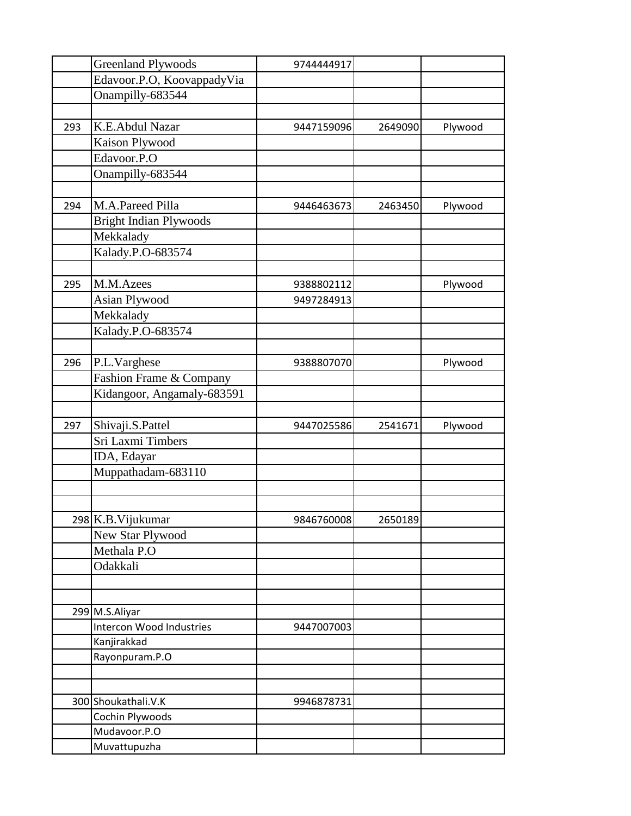|     | <b>Greenland Plywoods</b>       | 9744444917 |         |         |
|-----|---------------------------------|------------|---------|---------|
|     | Edavoor.P.O, KoovappadyVia      |            |         |         |
|     | Onampilly-683544                |            |         |         |
|     |                                 |            |         |         |
| 293 | K.E.Abdul Nazar                 | 9447159096 | 2649090 | Plywood |
|     | Kaison Plywood                  |            |         |         |
|     | Edavoor.P.O                     |            |         |         |
|     | Onampilly-683544                |            |         |         |
|     |                                 |            |         |         |
| 294 | M.A.Pareed Pilla                | 9446463673 | 2463450 | Plywood |
|     | <b>Bright Indian Plywoods</b>   |            |         |         |
|     | Mekkalady                       |            |         |         |
|     | Kalady.P.O-683574               |            |         |         |
|     |                                 |            |         |         |
| 295 | M.M.Azees                       | 9388802112 |         | Plywood |
|     | Asian Plywood                   | 9497284913 |         |         |
|     | Mekkalady                       |            |         |         |
|     | Kalady.P.O-683574               |            |         |         |
|     |                                 |            |         |         |
| 296 | P.L.Varghese                    | 9388807070 |         | Plywood |
|     | Fashion Frame & Company         |            |         |         |
|     | Kidangoor, Angamaly-683591      |            |         |         |
|     |                                 |            |         |         |
| 297 | Shivaji.S.Pattel                | 9447025586 | 2541671 | Plywood |
|     | Sri Laxmi Timbers               |            |         |         |
|     | IDA, Edayar                     |            |         |         |
|     | Muppathadam-683110              |            |         |         |
|     |                                 |            |         |         |
|     |                                 |            |         |         |
|     | 298 K.B. Vijukumar              | 9846760008 | 2650189 |         |
|     | New Star Plywood                |            |         |         |
|     | Methala P.O                     |            |         |         |
|     | Odakkali                        |            |         |         |
|     |                                 |            |         |         |
|     |                                 |            |         |         |
|     | 299 M.S.Aliyar                  |            |         |         |
|     | <b>Intercon Wood Industries</b> | 9447007003 |         |         |
|     | Kanjirakkad                     |            |         |         |
|     | Rayonpuram.P.O                  |            |         |         |
|     |                                 |            |         |         |
|     |                                 |            |         |         |
|     | 300 Shoukathali.V.K             | 9946878731 |         |         |
|     | Cochin Plywoods                 |            |         |         |
|     | Mudavoor.P.O                    |            |         |         |
|     | Muvattupuzha                    |            |         |         |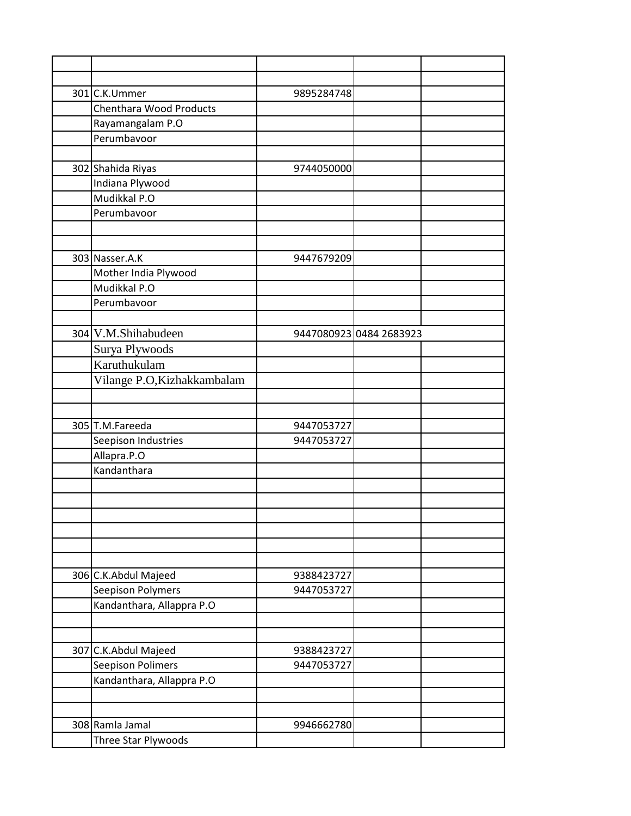| 301 C.K.Ummer                  | 9895284748 |                         |
|--------------------------------|------------|-------------------------|
| <b>Chenthara Wood Products</b> |            |                         |
| Rayamangalam P.O               |            |                         |
| Perumbavoor                    |            |                         |
|                                |            |                         |
| 302 Shahida Riyas              | 9744050000 |                         |
| Indiana Plywood                |            |                         |
| Mudikkal P.O                   |            |                         |
| Perumbavoor                    |            |                         |
|                                |            |                         |
|                                |            |                         |
| 303 Nasser.A.K                 | 9447679209 |                         |
| Mother India Plywood           |            |                         |
| Mudikkal P.O                   |            |                         |
| Perumbavoor                    |            |                         |
|                                |            |                         |
| 304 V.M.Shihabudeen            |            | 9447080923 0484 2683923 |
| Surya Plywoods                 |            |                         |
| Karuthukulam                   |            |                         |
| Vilange P.O, Kizhakkambalam    |            |                         |
|                                |            |                         |
|                                |            |                         |
| 305 T.M.Fareeda                | 9447053727 |                         |
| Seepison Industries            | 9447053727 |                         |
| Allapra.P.O                    |            |                         |
| Kandanthara                    |            |                         |
|                                |            |                         |
|                                |            |                         |
|                                |            |                         |
|                                |            |                         |
|                                |            |                         |
|                                |            |                         |
| 306 C.K.Abdul Majeed           | 9388423727 |                         |
| Seepison Polymers              | 9447053727 |                         |
| Kandanthara, Allappra P.O      |            |                         |
|                                |            |                         |
|                                |            |                         |
| 307 C.K.Abdul Majeed           | 9388423727 |                         |
| <b>Seepison Polimers</b>       | 9447053727 |                         |
| Kandanthara, Allappra P.O      |            |                         |
|                                |            |                         |
|                                |            |                         |
| 308 Ramla Jamal                | 9946662780 |                         |
| Three Star Plywoods            |            |                         |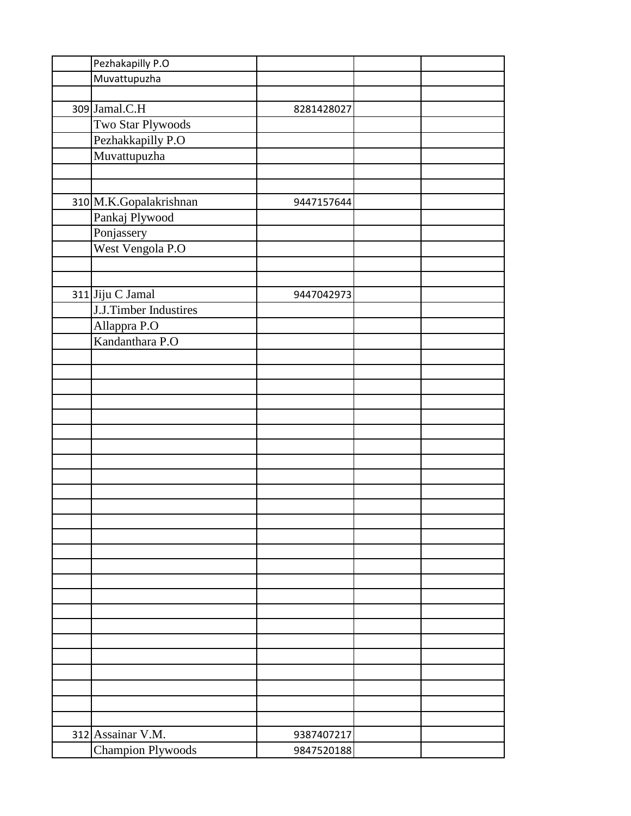| Pezhakapilly P.O       |            |  |
|------------------------|------------|--|
| Muvattupuzha           |            |  |
|                        |            |  |
| 309 Jamal.C.H          | 8281428027 |  |
| Two Star Plywoods      |            |  |
| Pezhakkapilly P.O      |            |  |
| Muvattupuzha           |            |  |
|                        |            |  |
|                        |            |  |
| 310 M.K.Gopalakrishnan | 9447157644 |  |
| Pankaj Plywood         |            |  |
| Ponjassery             |            |  |
| West Vengola P.O       |            |  |
|                        |            |  |
|                        |            |  |
| 311 Jiju C Jamal       | 9447042973 |  |
| J.J.Timber Industires  |            |  |
|                        |            |  |
| Allappra P.O           |            |  |
| Kandanthara P.O        |            |  |
|                        |            |  |
|                        |            |  |
|                        |            |  |
|                        |            |  |
|                        |            |  |
|                        |            |  |
|                        |            |  |
|                        |            |  |
|                        |            |  |
|                        |            |  |
|                        |            |  |
|                        |            |  |
|                        |            |  |
|                        |            |  |
|                        |            |  |
|                        |            |  |
|                        |            |  |
|                        |            |  |
|                        |            |  |
|                        |            |  |
|                        |            |  |
|                        |            |  |
|                        |            |  |
|                        |            |  |
|                        |            |  |
| 312 Assainar V.M.      | 9387407217 |  |
| Champion Plywoods      | 9847520188 |  |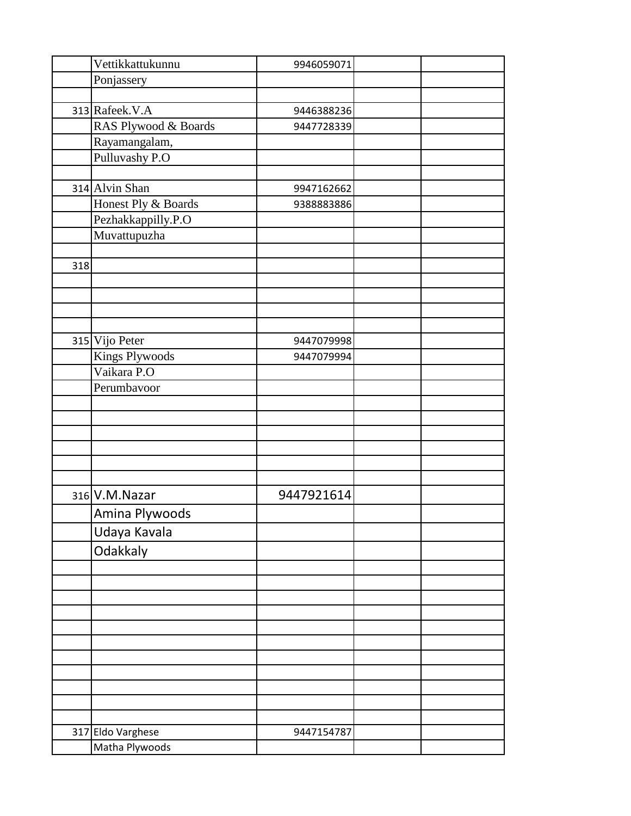|     | Vettikkattukunnu                                                                                    | 9946059071 |  |
|-----|-----------------------------------------------------------------------------------------------------|------------|--|
|     | Ponjassery                                                                                          |            |  |
|     |                                                                                                     |            |  |
|     | 313 Rafeek.V.A                                                                                      | 9446388236 |  |
|     | RAS Plywood & Boards                                                                                | 9447728339 |  |
|     | Rayamangalam,                                                                                       |            |  |
|     | Pulluvashy P.O                                                                                      |            |  |
|     |                                                                                                     |            |  |
|     | 314 Alvin Shan                                                                                      | 9947162662 |  |
|     | Honest Ply & Boards                                                                                 | 9388883886 |  |
|     | Pezhakkappilly.P.O                                                                                  |            |  |
|     | Muvattupuzha                                                                                        |            |  |
|     |                                                                                                     |            |  |
| 318 |                                                                                                     |            |  |
|     |                                                                                                     |            |  |
|     |                                                                                                     |            |  |
|     |                                                                                                     |            |  |
|     |                                                                                                     |            |  |
|     | 315 Vijo Peter                                                                                      | 9447079998 |  |
|     | <b>Kings Plywoods</b>                                                                               | 9447079994 |  |
|     | Vaikara P.O                                                                                         |            |  |
|     | Perumbavoor                                                                                         |            |  |
|     |                                                                                                     |            |  |
|     |                                                                                                     |            |  |
|     |                                                                                                     |            |  |
|     |                                                                                                     |            |  |
|     |                                                                                                     |            |  |
|     |                                                                                                     |            |  |
|     |                                                                                                     | 9447921614 |  |
|     |                                                                                                     |            |  |
|     |                                                                                                     |            |  |
|     |                                                                                                     |            |  |
|     |                                                                                                     |            |  |
|     |                                                                                                     |            |  |
|     |                                                                                                     |            |  |
|     |                                                                                                     |            |  |
|     |                                                                                                     |            |  |
|     |                                                                                                     |            |  |
|     |                                                                                                     |            |  |
|     |                                                                                                     |            |  |
|     |                                                                                                     |            |  |
|     |                                                                                                     |            |  |
|     |                                                                                                     |            |  |
|     |                                                                                                     |            |  |
|     |                                                                                                     |            |  |
|     | 316 V.M. Nazar<br>Amina Plywoods<br>Udaya Kavala<br>Odakkaly<br>317 Eldo Varghese<br>Matha Plywoods | 9447154787 |  |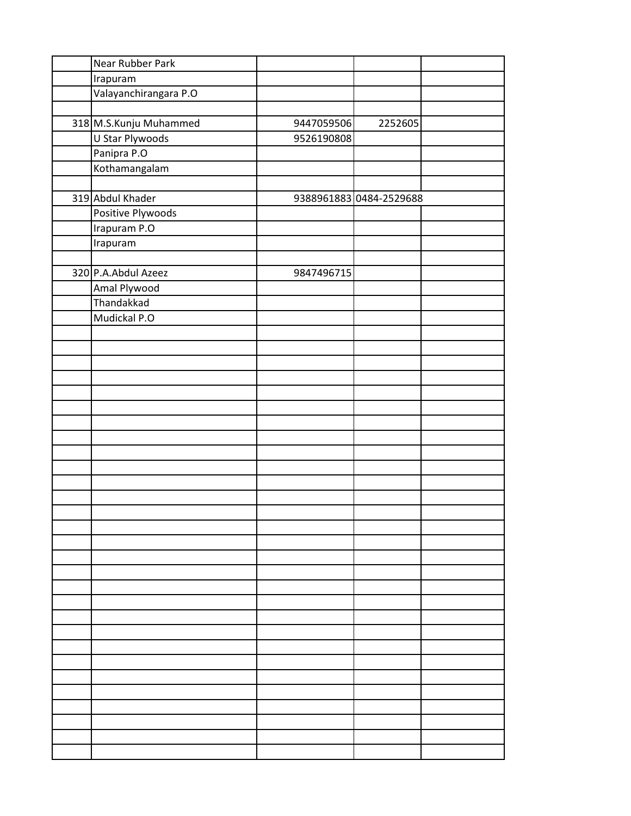| Near Rubber Park       |            |                         |  |
|------------------------|------------|-------------------------|--|
| Irapuram               |            |                         |  |
| Valayanchirangara P.O  |            |                         |  |
|                        |            |                         |  |
| 318 M.S.Kunju Muhammed | 9447059506 | 2252605                 |  |
| U Star Plywoods        | 9526190808 |                         |  |
| Panipra P.O            |            |                         |  |
| Kothamangalam          |            |                         |  |
|                        |            |                         |  |
| 319 Abdul Khader       |            | 9388961883 0484-2529688 |  |
| Positive Plywoods      |            |                         |  |
| Irapuram P.O           |            |                         |  |
| Irapuram               |            |                         |  |
|                        |            |                         |  |
| 320 P.A.Abdul Azeez    | 9847496715 |                         |  |
| Amal Plywood           |            |                         |  |
| Thandakkad             |            |                         |  |
| Mudickal P.O           |            |                         |  |
|                        |            |                         |  |
|                        |            |                         |  |
|                        |            |                         |  |
|                        |            |                         |  |
|                        |            |                         |  |
|                        |            |                         |  |
|                        |            |                         |  |
|                        |            |                         |  |
|                        |            |                         |  |
|                        |            |                         |  |
|                        |            |                         |  |
|                        |            |                         |  |
|                        |            |                         |  |
|                        |            |                         |  |
|                        |            |                         |  |
|                        |            |                         |  |
|                        |            |                         |  |
|                        |            |                         |  |
|                        |            |                         |  |
|                        |            |                         |  |
|                        |            |                         |  |
|                        |            |                         |  |
|                        |            |                         |  |
|                        |            |                         |  |
|                        |            |                         |  |
|                        |            |                         |  |
|                        |            |                         |  |
|                        |            |                         |  |
|                        |            |                         |  |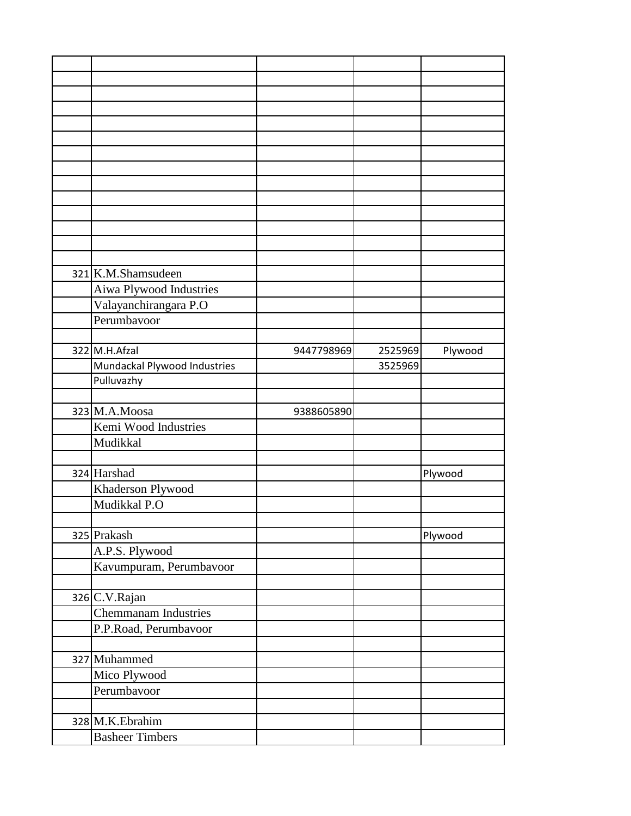| 321 K.M.Shamsudeen           |            |         |         |
|------------------------------|------------|---------|---------|
| Aiwa Plywood Industries      |            |         |         |
| Valayanchirangara P.O        |            |         |         |
| Perumbavoor                  |            |         |         |
|                              |            |         |         |
| 322 M.H.Afzal                | 9447798969 | 2525969 | Plywood |
| Mundackal Plywood Industries |            | 3525969 |         |
| Pulluvazhy                   |            |         |         |
|                              |            |         |         |
| 323 M.A.Moosa                | 9388605890 |         |         |
| Kemi Wood Industries         |            |         |         |
| Mudikkal                     |            |         |         |
|                              |            |         |         |
| 324 Harshad                  |            |         | Plywood |
| Khaderson Plywood            |            |         |         |
| Mudikkal P.O                 |            |         |         |
|                              |            |         |         |
| 325 Prakash                  |            |         | Plywood |
| A.P.S. Plywood               |            |         |         |
| Kavumpuram, Perumbavoor      |            |         |         |
|                              |            |         |         |
| 326 C.V.Rajan                |            |         |         |
| Chemmanam Industries         |            |         |         |
| P.P.Road, Perumbavoor        |            |         |         |
|                              |            |         |         |
| 327 Muhammed                 |            |         |         |
| Mico Plywood                 |            |         |         |
| Perumbavoor                  |            |         |         |
|                              |            |         |         |
| 328 M.K.Ebrahim              |            |         |         |
| <b>Basheer Timbers</b>       |            |         |         |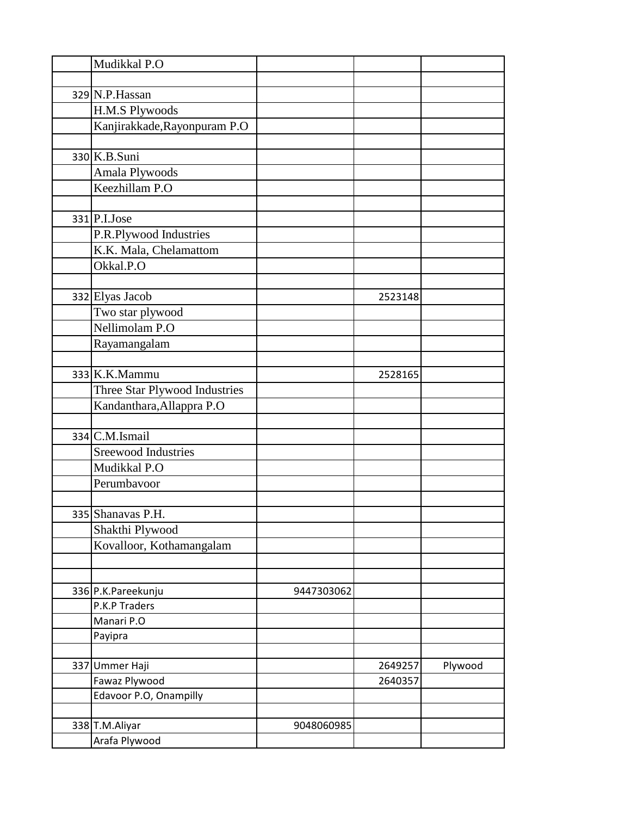| Mudikkal P.O                  |            |         |         |
|-------------------------------|------------|---------|---------|
|                               |            |         |         |
| 329 N.P. Hassan               |            |         |         |
| <b>H.M.S Plywoods</b>         |            |         |         |
| Kanjirakkade, Rayonpuram P.O  |            |         |         |
|                               |            |         |         |
| 330 K.B.Suni                  |            |         |         |
| Amala Plywoods                |            |         |         |
| Keezhillam P.O                |            |         |         |
|                               |            |         |         |
| $331$ P.I.Jose                |            |         |         |
| P.R.Plywood Industries        |            |         |         |
| K.K. Mala, Chelamattom        |            |         |         |
| Okkal.P.O                     |            |         |         |
|                               |            |         |         |
| 332 Elyas Jacob               |            | 2523148 |         |
| Two star plywood              |            |         |         |
| Nellimolam P.O                |            |         |         |
| Rayamangalam                  |            |         |         |
|                               |            |         |         |
| 333 K.K.Mammu                 |            | 2528165 |         |
| Three Star Plywood Industries |            |         |         |
| Kandanthara, Allappra P.O     |            |         |         |
|                               |            |         |         |
| 334 C.M.Ismail                |            |         |         |
| <b>Sreewood Industries</b>    |            |         |         |
| Mudikkal P.O                  |            |         |         |
| Perumbavoor                   |            |         |         |
|                               |            |         |         |
| 335 Shanavas P.H.             |            |         |         |
| Shakthi Plywood               |            |         |         |
| Kovalloor, Kothamangalam      |            |         |         |
|                               |            |         |         |
|                               |            |         |         |
| 336 P.K.Pareekunju            | 9447303062 |         |         |
| P.K.P Traders                 |            |         |         |
| Manari P.O                    |            |         |         |
| Payipra                       |            |         |         |
|                               |            |         |         |
| 337 Ummer Haji                |            | 2649257 | Plywood |
| Fawaz Plywood                 |            | 2640357 |         |
| Edavoor P.O, Onampilly        |            |         |         |
|                               |            |         |         |
| 338 T.M.Aliyar                | 9048060985 |         |         |
| Arafa Plywood                 |            |         |         |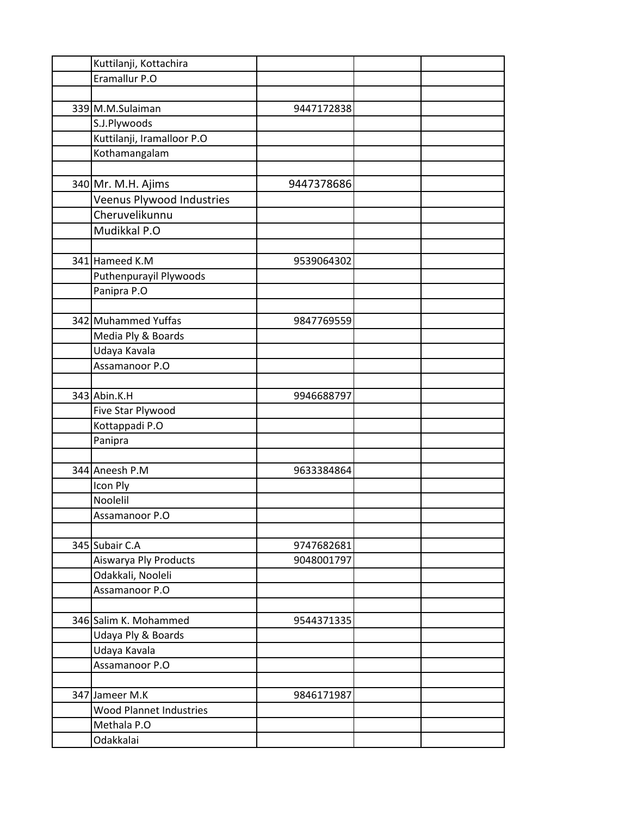| Kuttilanji, Kottachira         |            |  |
|--------------------------------|------------|--|
| Eramallur P.O                  |            |  |
|                                |            |  |
| 339 M.M.Sulaiman               | 9447172838 |  |
| S.J.Plywoods                   |            |  |
| Kuttilanji, Iramalloor P.O     |            |  |
| Kothamangalam                  |            |  |
|                                |            |  |
| 340 Mr. M.H. Ajims             | 9447378686 |  |
| Veenus Plywood Industries      |            |  |
| Cheruvelikunnu                 |            |  |
| Mudikkal P.O                   |            |  |
|                                |            |  |
| 341 Hameed K.M                 | 9539064302 |  |
| Puthenpurayil Plywoods         |            |  |
| Panipra P.O                    |            |  |
|                                |            |  |
| 342 Muhammed Yuffas            | 9847769559 |  |
| Media Ply & Boards             |            |  |
| Udaya Kavala                   |            |  |
| Assamanoor P.O                 |            |  |
|                                |            |  |
| 343 Abin.K.H                   | 9946688797 |  |
| Five Star Plywood              |            |  |
| Kottappadi P.O                 |            |  |
| Panipra                        |            |  |
|                                |            |  |
| 344 Aneesh P.M                 | 9633384864 |  |
| Icon Ply                       |            |  |
| Noolelil                       |            |  |
| Assamanoor P.O                 |            |  |
|                                |            |  |
| 345 Subair C.A                 | 9747682681 |  |
| Aiswarya Ply Products          | 9048001797 |  |
| Odakkali, Nooleli              |            |  |
| Assamanoor P.O                 |            |  |
|                                |            |  |
| 346 Salim K. Mohammed          | 9544371335 |  |
| Udaya Ply & Boards             |            |  |
| Udaya Kavala                   |            |  |
| Assamanoor P.O                 |            |  |
|                                |            |  |
| 347 Jameer M.K                 | 9846171987 |  |
| <b>Wood Plannet Industries</b> |            |  |
| Methala P.O                    |            |  |
| Odakkalai                      |            |  |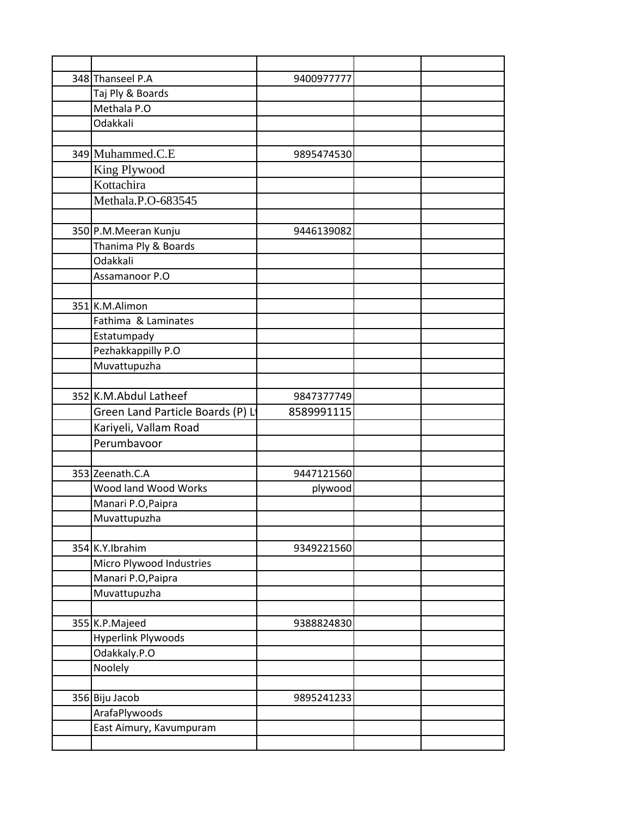| 348 Thanseel P.A                  | 9400977777 |  |
|-----------------------------------|------------|--|
| Taj Ply & Boards                  |            |  |
| Methala P.O                       |            |  |
| Odakkali                          |            |  |
|                                   |            |  |
| 349 Muhammed.C.E                  | 9895474530 |  |
| King Plywood                      |            |  |
| Kottachira                        |            |  |
| Methala.P.O-683545                |            |  |
|                                   |            |  |
| 350 P.M.Meeran Kunju              | 9446139082 |  |
| Thanima Ply & Boards              |            |  |
| Odakkali                          |            |  |
| Assamanoor P.O                    |            |  |
|                                   |            |  |
| 351 K.M.Alimon                    |            |  |
| Fathima & Laminates               |            |  |
| Estatumpady                       |            |  |
| Pezhakkappilly P.O                |            |  |
| Muvattupuzha                      |            |  |
|                                   |            |  |
| 352 K.M.Abdul Latheef             | 9847377749 |  |
| Green Land Particle Boards (P) Li | 8589991115 |  |
| Kariyeli, Vallam Road             |            |  |
| Perumbavoor                       |            |  |
|                                   |            |  |
| 353 Zeenath.C.A                   | 9447121560 |  |
| Wood land Wood Works              | plywood    |  |
| Manari P.O, Paipra                |            |  |
| Muvattupuzha                      |            |  |
|                                   |            |  |
| 354 K.Y.Ibrahim                   | 9349221560 |  |
| Micro Plywood Industries          |            |  |
| Manari P.O, Paipra                |            |  |
| Muvattupuzha                      |            |  |
|                                   |            |  |
| 355 K.P.Majeed                    | 9388824830 |  |
| <b>Hyperlink Plywoods</b>         |            |  |
| Odakkaly.P.O                      |            |  |
| Noolely                           |            |  |
|                                   |            |  |
| 356 Biju Jacob                    | 9895241233 |  |
| ArafaPlywoods                     |            |  |
| East Aimury, Kavumpuram           |            |  |
|                                   |            |  |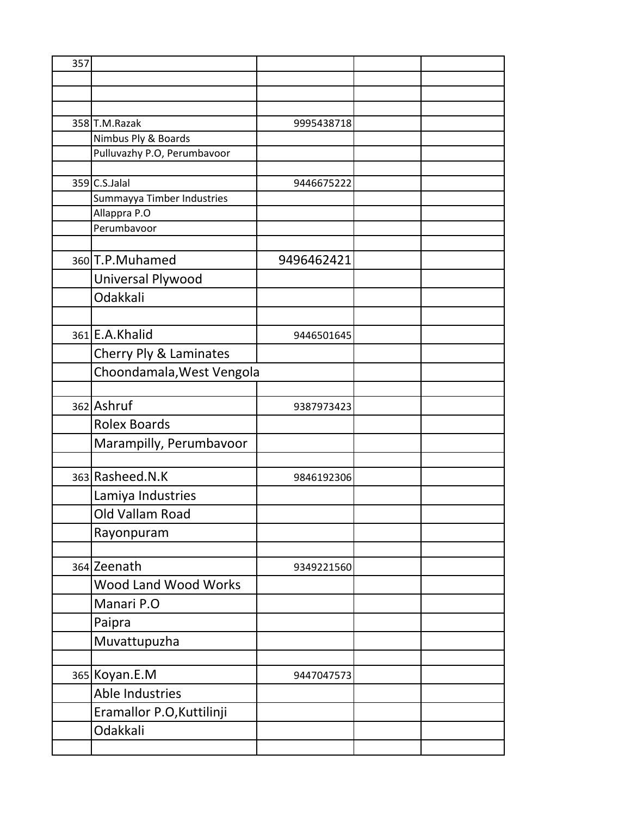| 357 |                             |            |  |
|-----|-----------------------------|------------|--|
|     |                             |            |  |
|     |                             |            |  |
|     |                             |            |  |
|     | 358 T.M.Razak               | 9995438718 |  |
|     | Nimbus Ply & Boards         |            |  |
|     | Pulluvazhy P.O, Perumbavoor |            |  |
|     | 359 C.S.Jalal               | 9446675222 |  |
|     | Summayya Timber Industries  |            |  |
|     | Allappra P.O                |            |  |
|     | Perumbavoor                 |            |  |
|     |                             |            |  |
|     | 360 T.P. Muhamed            | 9496462421 |  |
|     | Universal Plywood           |            |  |
|     | Odakkali                    |            |  |
|     |                             |            |  |
|     | 361 E.A. Khalid             | 9446501645 |  |
|     | Cherry Ply & Laminates      |            |  |
|     | Choondamala, West Vengola   |            |  |
|     |                             |            |  |
|     | 362 Ashruf                  | 9387973423 |  |
|     | <b>Rolex Boards</b>         |            |  |
|     | Marampilly, Perumbavoor     |            |  |
|     |                             |            |  |
|     | 363 Rasheed.N.K             | 9846192306 |  |
|     | Lamiya Industries           |            |  |
|     | Old Vallam Road             |            |  |
|     | Rayonpuram                  |            |  |
|     |                             |            |  |
|     | 364 Zeenath                 | 9349221560 |  |
|     | <b>Wood Land Wood Works</b> |            |  |
|     | Manari P.O                  |            |  |
|     | Paipra                      |            |  |
|     | Muvattupuzha                |            |  |
|     |                             |            |  |
|     | 365 Koyan.E.M               | 9447047573 |  |
|     | Able Industries             |            |  |
|     | Eramallor P.O, Kuttilinji   |            |  |
|     | Odakkali                    |            |  |
|     |                             |            |  |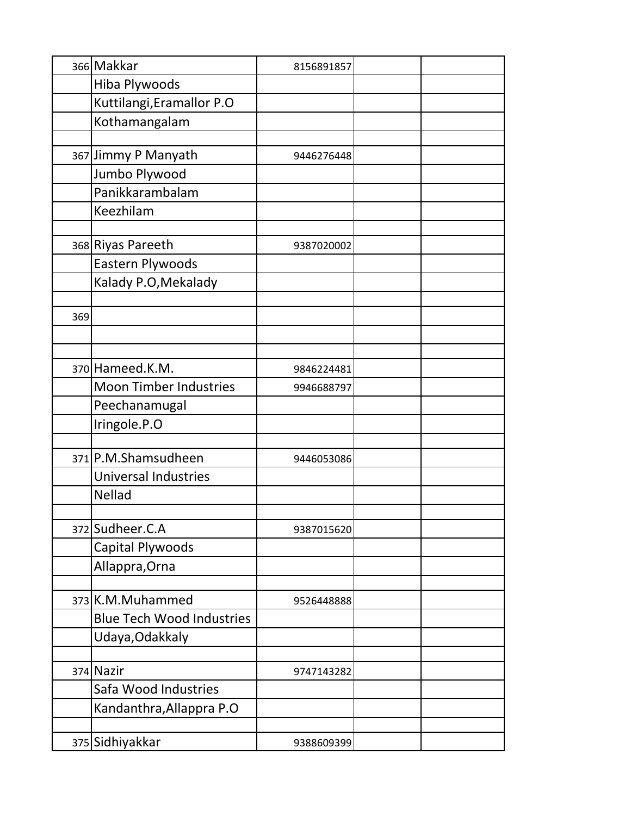|     | 366 Makkar                       | 8156891857 |  |
|-----|----------------------------------|------------|--|
|     | Hiba Plywoods                    |            |  |
|     | Kuttilangi, Eramallor P.O        |            |  |
|     | Kothamangalam                    |            |  |
|     |                                  |            |  |
|     | 367 Jimmy P Manyath              | 9446276448 |  |
|     | Jumbo Plywood                    |            |  |
|     | Panikkarambalam                  |            |  |
|     | Keezhilam                        |            |  |
|     |                                  |            |  |
|     | 368 Riyas Pareeth                | 9387020002 |  |
|     | Eastern Plywoods                 |            |  |
|     | Kalady P.O, Mekalady             |            |  |
|     |                                  |            |  |
| 369 |                                  |            |  |
|     |                                  |            |  |
|     |                                  |            |  |
|     | 370 Hameed.K.M.                  | 9846224481 |  |
|     | <b>Moon Timber Industries</b>    | 9946688797 |  |
|     | Peechanamugal                    |            |  |
|     | Iringole.P.O                     |            |  |
|     |                                  |            |  |
|     | 371 P.M.Shamsudheen              | 9446053086 |  |
|     | <b>Universal Industries</b>      |            |  |
|     | <b>Nellad</b>                    |            |  |
|     | 372 Sudheer.C.A                  | 9387015620 |  |
|     | Capital Plywoods                 |            |  |
|     | Allappra, Orna                   |            |  |
|     |                                  |            |  |
|     | 373 K.M.Muhammed                 | 9526448888 |  |
|     | <b>Blue Tech Wood Industries</b> |            |  |
|     | Udaya, Odakkaly                  |            |  |
|     |                                  |            |  |
|     | 374 Nazir                        | 9747143282 |  |
|     | Safa Wood Industries             |            |  |
|     | Kandanthra, Allappra P.O         |            |  |
|     |                                  |            |  |
|     | 375 Sidhiyakkar                  | 9388609399 |  |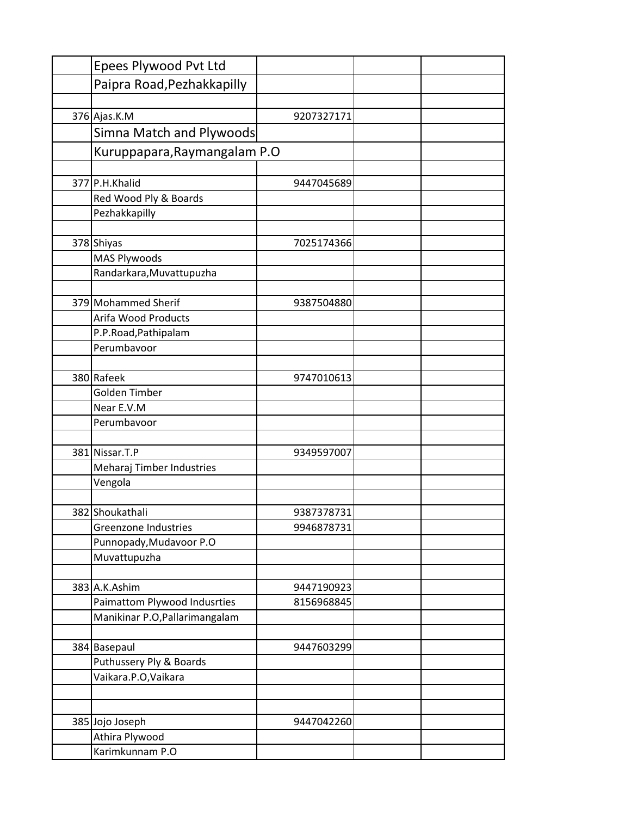| Epees Plywood Pvt Ltd                       |            |  |
|---------------------------------------------|------------|--|
| Paipra Road, Pezhakkapilly                  |            |  |
|                                             |            |  |
| 376 Ajas.K.M                                | 9207327171 |  |
| Simna Match and Plywoods                    |            |  |
| Kuruppapara, Raymangalam P.O                |            |  |
|                                             |            |  |
| 377 P.H.Khalid                              | 9447045689 |  |
| Red Wood Ply & Boards                       |            |  |
| Pezhakkapilly                               |            |  |
|                                             |            |  |
| 378 Shiyas                                  | 7025174366 |  |
| <b>MAS Plywoods</b>                         |            |  |
| Randarkara, Muvattupuzha                    |            |  |
|                                             |            |  |
| 379 Mohammed Sherif                         | 9387504880 |  |
| Arifa Wood Products                         |            |  |
| P.P.Road, Pathipalam                        |            |  |
| Perumbavoor                                 |            |  |
|                                             |            |  |
| 380 Rafeek                                  | 9747010613 |  |
| Golden Timber                               |            |  |
| Near E.V.M                                  |            |  |
| Perumbavoor                                 |            |  |
|                                             |            |  |
| 381 Nissar.T.P<br>Meharaj Timber Industries | 9349597007 |  |
| Vengola                                     |            |  |
|                                             |            |  |
| 382 Shoukathali                             | 9387378731 |  |
| Greenzone Industries                        | 9946878731 |  |
| Punnopady, Mudavoor P.O                     |            |  |
| Muvattupuzha                                |            |  |
|                                             |            |  |
| 383 A.K.Ashim                               | 9447190923 |  |
| Paimattom Plywood Indusrties                | 8156968845 |  |
| Manikinar P.O, Pallarimangalam              |            |  |
|                                             |            |  |
| 384 Basepaul                                | 9447603299 |  |
| Puthussery Ply & Boards                     |            |  |
| Vaikara.P.O, Vaikara                        |            |  |
|                                             |            |  |
|                                             |            |  |
| 385 Jojo Joseph                             | 9447042260 |  |
| Athira Plywood                              |            |  |
| Karimkunnam P.O                             |            |  |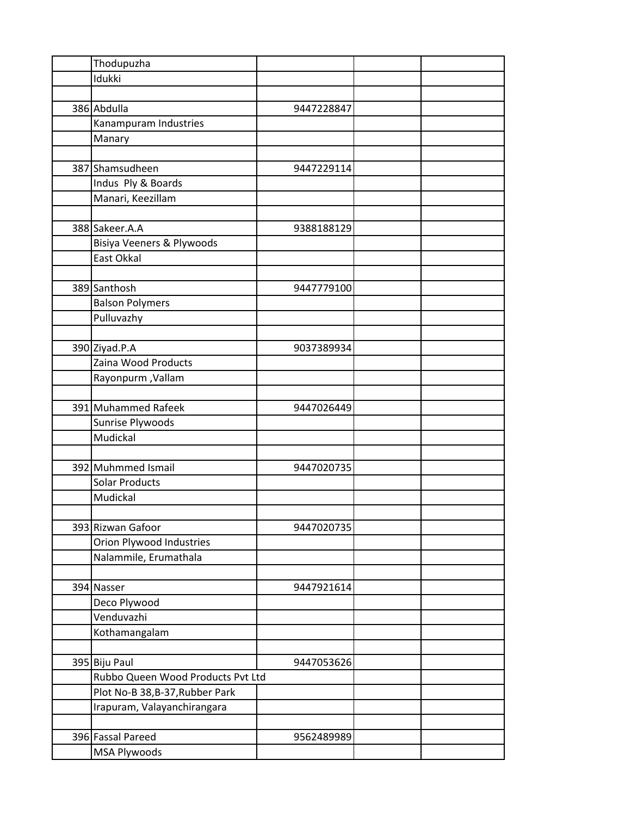| Thodupuzha                        |            |  |
|-----------------------------------|------------|--|
| Idukki                            |            |  |
|                                   |            |  |
| 386 Abdulla                       | 9447228847 |  |
| Kanampuram Industries             |            |  |
| Manary                            |            |  |
|                                   |            |  |
| 387 Shamsudheen                   | 9447229114 |  |
| Indus Ply & Boards                |            |  |
| Manari, Keezillam                 |            |  |
|                                   |            |  |
| 388 Sakeer.A.A                    | 9388188129 |  |
|                                   |            |  |
| Bisiya Veeners & Plywoods         |            |  |
| East Okkal                        |            |  |
|                                   |            |  |
| 389 Santhosh                      | 9447779100 |  |
| <b>Balson Polymers</b>            |            |  |
| Pulluvazhy                        |            |  |
|                                   |            |  |
| 390 Ziyad.P.A                     | 9037389934 |  |
| Zaina Wood Products               |            |  |
| <b>Rayonpurm</b> , Vallam         |            |  |
|                                   |            |  |
| 391 Muhammed Rafeek               | 9447026449 |  |
| Sunrise Plywoods                  |            |  |
| Mudickal                          |            |  |
|                                   |            |  |
| 392 Muhmmed Ismail                | 9447020735 |  |
| <b>Solar Products</b>             |            |  |
| Mudickal                          |            |  |
|                                   |            |  |
| 393 Rizwan Gafoor                 | 9447020735 |  |
| Orion Plywood Industries          |            |  |
| Nalammile, Erumathala             |            |  |
|                                   |            |  |
| 394 Nasser                        | 9447921614 |  |
|                                   |            |  |
| Deco Plywood                      |            |  |
| Venduvazhi                        |            |  |
| Kothamangalam                     |            |  |
|                                   |            |  |
| 395 Biju Paul                     | 9447053626 |  |
| Rubbo Queen Wood Products Pvt Ltd |            |  |
| Plot No-B 38, B-37, Rubber Park   |            |  |
| Irapuram, Valayanchirangara       |            |  |
|                                   |            |  |
| 396 Fassal Pareed                 | 9562489989 |  |
| MSA Plywoods                      |            |  |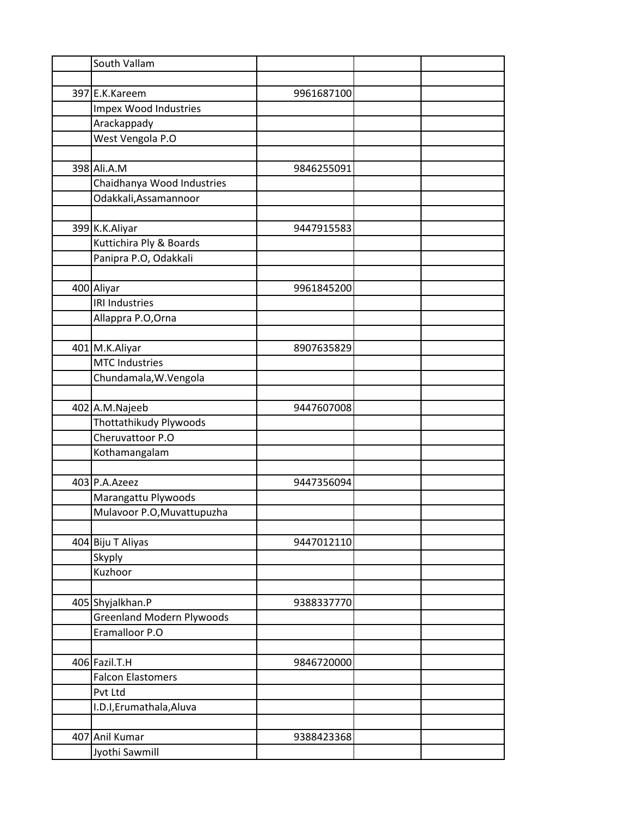| South Vallam                     |            |  |
|----------------------------------|------------|--|
|                                  |            |  |
| 397 E.K.Kareem                   | 9961687100 |  |
| Impex Wood Industries            |            |  |
| Arackappady                      |            |  |
| West Vengola P.O                 |            |  |
|                                  |            |  |
| 398 Ali.A.M                      | 9846255091 |  |
| Chaidhanya Wood Industries       |            |  |
| Odakkali, Assamannoor            |            |  |
|                                  |            |  |
| 399 K.K.Aliyar                   | 9447915583 |  |
| Kuttichira Ply & Boards          |            |  |
| Panipra P.O, Odakkali            |            |  |
|                                  |            |  |
| 400 Aliyar                       | 9961845200 |  |
| <b>IRI Industries</b>            |            |  |
| Allappra P.O, Orna               |            |  |
|                                  |            |  |
| 401 M.K.Aliyar                   | 8907635829 |  |
| <b>MTC Industries</b>            |            |  |
| Chundamala, W. Vengola           |            |  |
|                                  |            |  |
| 402 A.M.Najeeb                   | 9447607008 |  |
| Thottathikudy Plywoods           |            |  |
| Cheruvattoor P.O                 |            |  |
| Kothamangalam                    |            |  |
|                                  |            |  |
| 403 P.A.Azeez                    | 9447356094 |  |
| Marangattu Plywoods              |            |  |
| Mulavoor P.O, Muvattupuzha       |            |  |
|                                  |            |  |
| 404 Biju T Aliyas                | 9447012110 |  |
| Skyply                           |            |  |
| Kuzhoor                          |            |  |
|                                  |            |  |
| 405 Shyjalkhan.P                 | 9388337770 |  |
| <b>Greenland Modern Plywoods</b> |            |  |
| Eramalloor P.O                   |            |  |
|                                  |            |  |
| 406 Fazil.T.H                    | 9846720000 |  |
| <b>Falcon Elastomers</b>         |            |  |
| Pvt Ltd                          |            |  |
| I.D.I, Erumathala, Aluva         |            |  |
|                                  |            |  |
| 407 Anil Kumar                   | 9388423368 |  |
| Jyothi Sawmill                   |            |  |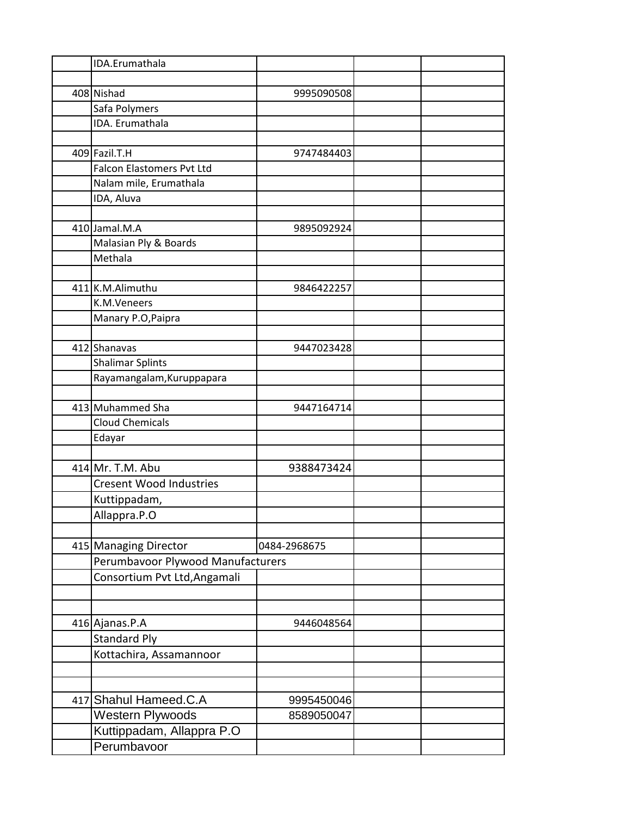| 408 Nishad<br>9995090508              |  |
|---------------------------------------|--|
|                                       |  |
|                                       |  |
| Safa Polymers                         |  |
| IDA. Erumathala                       |  |
|                                       |  |
| 409 Fazil.T.H<br>9747484403           |  |
| <b>Falcon Elastomers Pvt Ltd</b>      |  |
| Nalam mile, Erumathala                |  |
| IDA, Aluva                            |  |
|                                       |  |
| 410 Jamal.M.A<br>9895092924           |  |
| Malasian Ply & Boards                 |  |
| Methala                               |  |
|                                       |  |
| 411 K.M.Alimuthu<br>9846422257        |  |
| K.M.Veneers                           |  |
| Manary P.O, Paipra                    |  |
|                                       |  |
| 412 Shanavas<br>9447023428            |  |
| <b>Shalimar Splints</b>               |  |
| Rayamangalam, Kuruppapara             |  |
|                                       |  |
| 413 Muhammed Sha<br>9447164714        |  |
| <b>Cloud Chemicals</b>                |  |
| Edayar                                |  |
|                                       |  |
| 414 Mr. T.M. Abu<br>9388473424        |  |
| <b>Cresent Wood Industries</b>        |  |
| Kuttippadam,                          |  |
| Allappra.P.O                          |  |
|                                       |  |
| 415 Managing Director<br>0484-2968675 |  |
| Perumbavoor Plywood Manufacturers     |  |
| Consortium Pvt Ltd, Angamali          |  |
|                                       |  |
|                                       |  |
| 416 Ajanas.P.A<br>9446048564          |  |
| <b>Standard Ply</b>                   |  |
| Kottachira, Assamannoor               |  |
|                                       |  |
|                                       |  |
| 417 Shahul Hameed.C.A<br>9995450046   |  |
| Western Plywoods<br>8589050047        |  |
| Kuttippadam, Allappra P.O             |  |
| Perumbavoor                           |  |